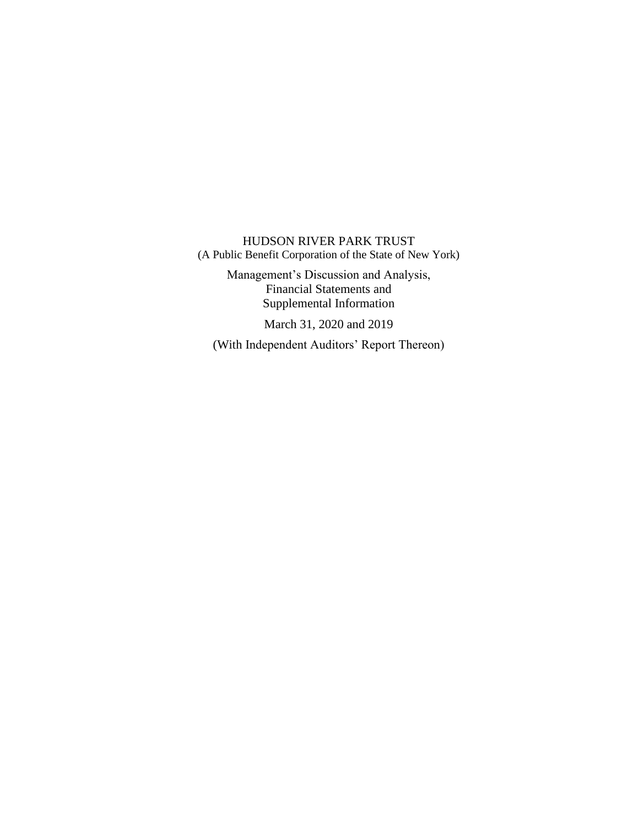#### HUDSON RIVER PARK TRUST (A Public Benefit Corporation of the State of New York)

Management's Discussion and Analysis, Financial Statements and Supplemental Information

March 31, 2020 and 2019

(With Independent Auditors' Report Thereon)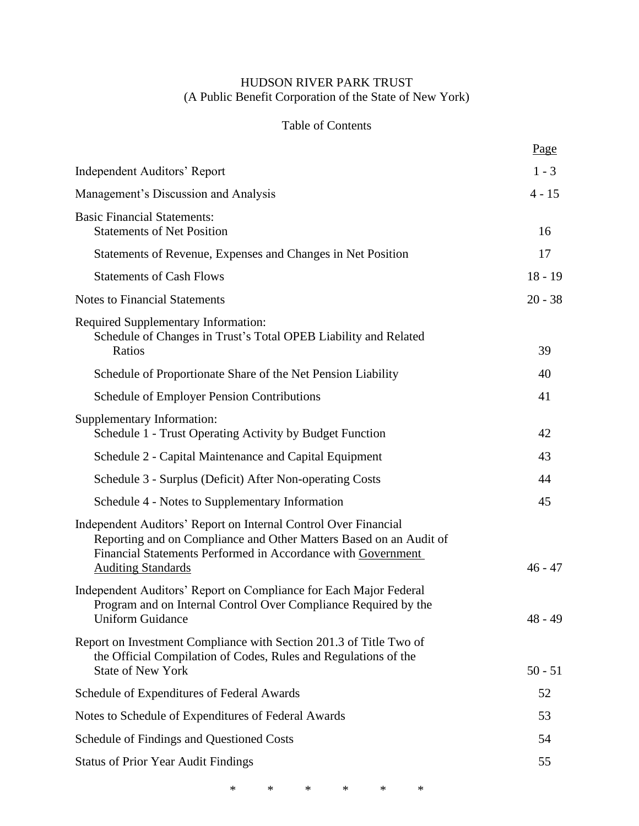### HUDSON RIVER PARK TRUST (A Public Benefit Corporation of the State of New York)

### Table of Contents

|                                                                                                                                                                                                                                    | Page      |
|------------------------------------------------------------------------------------------------------------------------------------------------------------------------------------------------------------------------------------|-----------|
| Independent Auditors' Report                                                                                                                                                                                                       | $1 - 3$   |
| Management's Discussion and Analysis                                                                                                                                                                                               | $4 - 15$  |
| <b>Basic Financial Statements:</b><br><b>Statements of Net Position</b>                                                                                                                                                            | 16        |
| Statements of Revenue, Expenses and Changes in Net Position                                                                                                                                                                        | 17        |
| <b>Statements of Cash Flows</b>                                                                                                                                                                                                    | $18 - 19$ |
| <b>Notes to Financial Statements</b>                                                                                                                                                                                               | $20 - 38$ |
| Required Supplementary Information:<br>Schedule of Changes in Trust's Total OPEB Liability and Related<br>Ratios                                                                                                                   | 39        |
| Schedule of Proportionate Share of the Net Pension Liability                                                                                                                                                                       | 40        |
| <b>Schedule of Employer Pension Contributions</b>                                                                                                                                                                                  | 41        |
| Supplementary Information:<br>Schedule 1 - Trust Operating Activity by Budget Function                                                                                                                                             | 42        |
| Schedule 2 - Capital Maintenance and Capital Equipment                                                                                                                                                                             | 43        |
| Schedule 3 - Surplus (Deficit) After Non-operating Costs                                                                                                                                                                           | 44        |
| Schedule 4 - Notes to Supplementary Information                                                                                                                                                                                    | 45        |
| Independent Auditors' Report on Internal Control Over Financial<br>Reporting and on Compliance and Other Matters Based on an Audit of<br>Financial Statements Performed in Accordance with Government<br><b>Auditing Standards</b> | $46 - 47$ |
| Independent Auditors' Report on Compliance for Each Major Federal<br>Program and on Internal Control Over Compliance Required by the<br><b>Uniform Guidance</b>                                                                    | $48 - 49$ |
| Report on Investment Compliance with Section 201.3 of Title Two of<br>the Official Compilation of Codes, Rules and Regulations of the<br><b>State of New York</b>                                                                  | $50 - 51$ |
| Schedule of Expenditures of Federal Awards                                                                                                                                                                                         | 52        |
| Notes to Schedule of Expenditures of Federal Awards                                                                                                                                                                                | 53        |
| Schedule of Findings and Questioned Costs                                                                                                                                                                                          | 54        |
| <b>Status of Prior Year Audit Findings</b>                                                                                                                                                                                         | 55        |
|                                                                                                                                                                                                                                    |           |

\* \* \* \* \* \*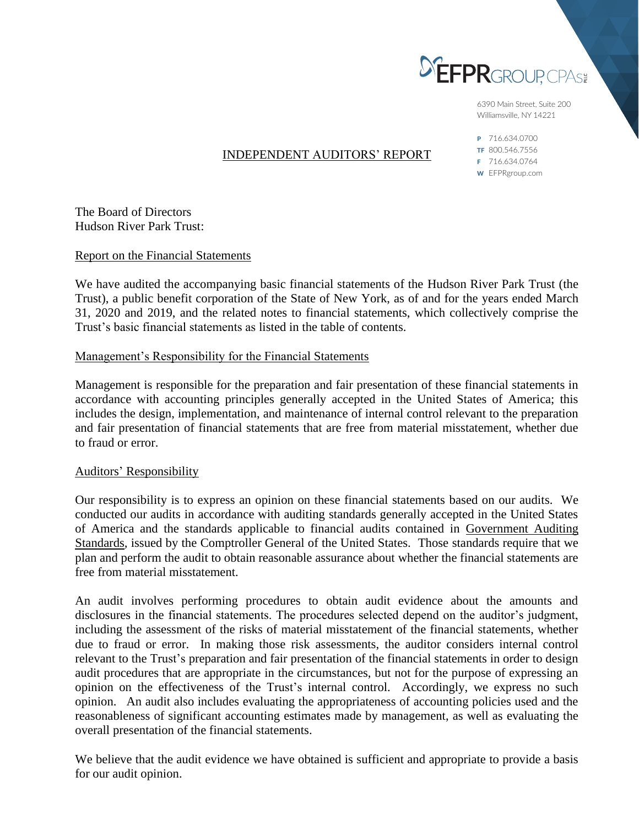

6390 Main Street, Suite 200 Williamsville, NY 14221

#### INDEPENDENT AUDITORS' REPORT

P 716.634.0700 TF 800.546.7556 F 716.634.0764 W EFPRgroup.com

The Board of Directors Hudson River Park Trust:

Report on the Financial Statements

We have audited the accompanying basic financial statements of the Hudson River Park Trust (the Trust), a public benefit corporation of the State of New York, as of and for the years ended March 31, 2020 and 2019, and the related notes to financial statements, which collectively comprise the Trust's basic financial statements as listed in the table of contents.

#### Management's Responsibility for the Financial Statements

Management is responsible for the preparation and fair presentation of these financial statements in accordance with accounting principles generally accepted in the United States of America; this includes the design, implementation, and maintenance of internal control relevant to the preparation and fair presentation of financial statements that are free from material misstatement, whether due to fraud or error.

#### Auditors' Responsibility

Our responsibility is to express an opinion on these financial statements based on our audits. We conducted our audits in accordance with auditing standards generally accepted in the United States of America and the standards applicable to financial audits contained in Government Auditing Standards*,* issued by the Comptroller General of the United States. Those standards require that we plan and perform the audit to obtain reasonable assurance about whether the financial statements are free from material misstatement.

An audit involves performing procedures to obtain audit evidence about the amounts and disclosures in the financial statements. The procedures selected depend on the auditor's judgment, including the assessment of the risks of material misstatement of the financial statements, whether due to fraud or error. In making those risk assessments, the auditor considers internal control relevant to the Trust's preparation and fair presentation of the financial statements in order to design audit procedures that are appropriate in the circumstances, but not for the purpose of expressing an opinion on the effectiveness of the Trust's internal control. Accordingly, we express no such opinion. An audit also includes evaluating the appropriateness of accounting policies used and the reasonableness of significant accounting estimates made by management, as well as evaluating the overall presentation of the financial statements.

We believe that the audit evidence we have obtained is sufficient and appropriate to provide a basis for our audit opinion.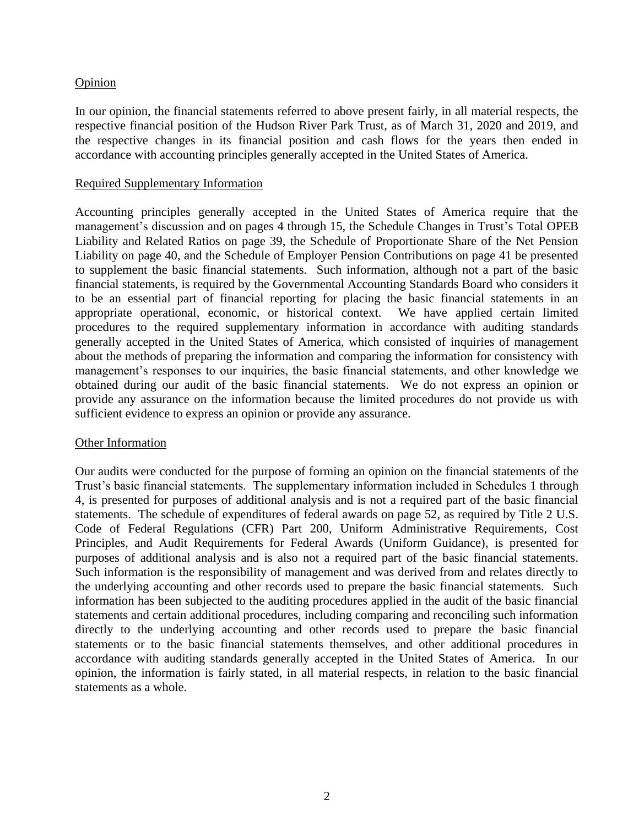#### **Opinion**

In our opinion, the financial statements referred to above present fairly, in all material respects, the respective financial position of the Hudson River Park Trust, as of March 31, 2020 and 2019, and the respective changes in its financial position and cash flows for the years then ended in accordance with accounting principles generally accepted in the United States of America.

#### Required Supplementary Information

Accounting principles generally accepted in the United States of America require that the management's discussion and on pages 4 through 15, the Schedule Changes in Trust's Total OPEB Liability and Related Ratios on page 39, the Schedule of Proportionate Share of the Net Pension Liability on page 40, and the Schedule of Employer Pension Contributions on page 41 be presented to supplement the basic financial statements. Such information, although not a part of the basic financial statements, is required by the Governmental Accounting Standards Board who considers it to be an essential part of financial reporting for placing the basic financial statements in an appropriate operational, economic, or historical context. We have applied certain limited procedures to the required supplementary information in accordance with auditing standards generally accepted in the United States of America, which consisted of inquiries of management about the methods of preparing the information and comparing the information for consistency with management's responses to our inquiries, the basic financial statements, and other knowledge we obtained during our audit of the basic financial statements. We do not express an opinion or provide any assurance on the information because the limited procedures do not provide us with sufficient evidence to express an opinion or provide any assurance.

#### Other Information

Our audits were conducted for the purpose of forming an opinion on the financial statements of the Trust's basic financial statements. The supplementary information included in Schedules 1 through 4, is presented for purposes of additional analysis and is not a required part of the basic financial statements. The schedule of expenditures of federal awards on page 52, as required by Title 2 U.S. Code of Federal Regulations (CFR) Part 200, Uniform Administrative Requirements, Cost Principles, and Audit Requirements for Federal Awards (Uniform Guidance), is presented for purposes of additional analysis and is also not a required part of the basic financial statements. Such information is the responsibility of management and was derived from and relates directly to the underlying accounting and other records used to prepare the basic financial statements. Such information has been subjected to the auditing procedures applied in the audit of the basic financial statements and certain additional procedures, including comparing and reconciling such information directly to the underlying accounting and other records used to prepare the basic financial statements or to the basic financial statements themselves, and other additional procedures in accordance with auditing standards generally accepted in the United States of America. In our opinion, the information is fairly stated, in all material respects, in relation to the basic financial statements as a whole.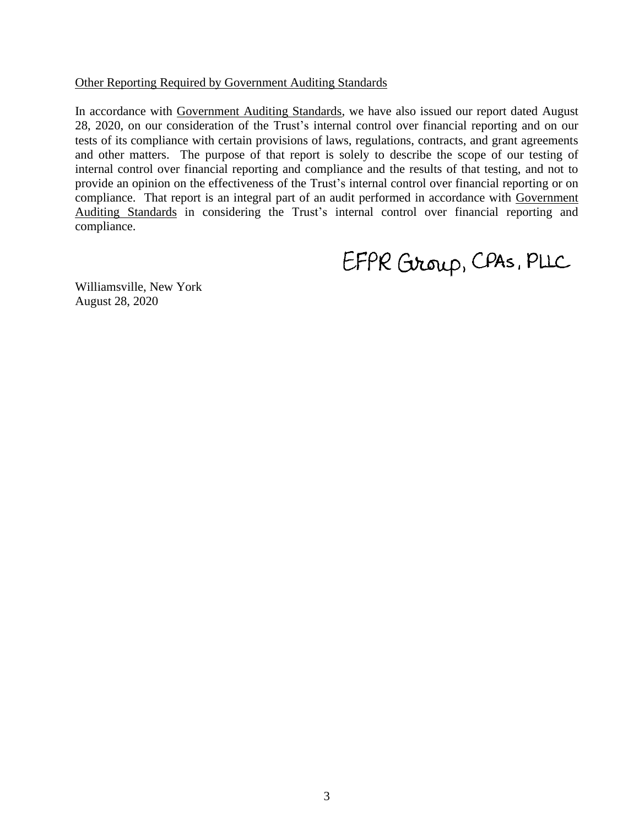#### Other Reporting Required by Government Auditing Standards

In accordance with Government Auditing Standards, we have also issued our report dated August 28, 2020, on our consideration of the Trust's internal control over financial reporting and on our tests of its compliance with certain provisions of laws, regulations, contracts, and grant agreements and other matters. The purpose of that report is solely to describe the scope of our testing of internal control over financial reporting and compliance and the results of that testing, and not to provide an opinion on the effectiveness of the Trust's internal control over financial reporting or on compliance. That report is an integral part of an audit performed in accordance with Government Auditing Standards in considering the Trust's internal control over financial reporting and compliance.

# EFPR Group, CPAS, PLLC

Williamsville, New York August 28, 2020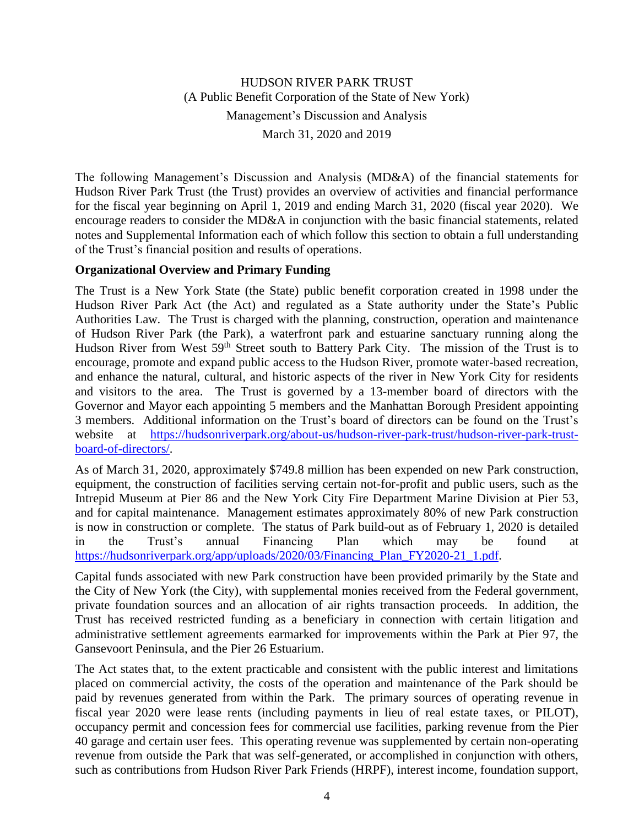The following Management's Discussion and Analysis (MD&A) of the financial statements for Hudson River Park Trust (the Trust) provides an overview of activities and financial performance for the fiscal year beginning on April 1, 2019 and ending March 31, 2020 (fiscal year 2020). We encourage readers to consider the MD&A in conjunction with the basic financial statements, related notes and Supplemental Information each of which follow this section to obtain a full understanding of the Trust's financial position and results of operations.

#### **Organizational Overview and Primary Funding**

The Trust is a New York State (the State) public benefit corporation created in 1998 under the Hudson River Park Act (the Act) and regulated as a State authority under the State's Public Authorities Law. The Trust is charged with the planning, construction, operation and maintenance of Hudson River Park (the Park), a waterfront park and estuarine sanctuary running along the Hudson River from West 59<sup>th</sup> Street south to Battery Park City. The mission of the Trust is to encourage, promote and expand public access to the Hudson River, promote water-based recreation, and enhance the natural, cultural, and historic aspects of the river in New York City for residents and visitors to the area. The Trust is governed by a 13-member board of directors with the Governor and Mayor each appointing 5 members and the Manhattan Borough President appointing 3 members. Additional information on the Trust's board of directors can be found on the Trust's website at [https://hudsonriverpark.org/about-us/hudson-river-park-trust/hudson-river-park-trust](https://hudsonriverpark.org/about-us/hudson-river-park-trust/hudson-river-park-trust-board-of-directors/)[board-of-directors/.](https://hudsonriverpark.org/about-us/hudson-river-park-trust/hudson-river-park-trust-board-of-directors/)

As of March 31, 2020, approximately \$749.8 million has been expended on new Park construction, equipment, the construction of facilities serving certain not-for-profit and public users, such as the Intrepid Museum at Pier 86 and the New York City Fire Department Marine Division at Pier 53, and for capital maintenance. Management estimates approximately 80% of new Park construction is now in construction or complete. The status of Park build-out as of February 1, 2020 is detailed in the Trust's annual Financing Plan which may be found at [https://hudsonriverpark.org/app/uploads/2020/03/Financing\\_Plan\\_FY2020-21\\_1.pdf.](https://hudsonriverpark.org/app/uploads/2020/03/Financing_Plan_FY2020-21_1.pdf)

Capital funds associated with new Park construction have been provided primarily by the State and the City of New York (the City), with supplemental monies received from the Federal government, private foundation sources and an allocation of air rights transaction proceeds. In addition, the Trust has received restricted funding as a beneficiary in connection with certain litigation and administrative settlement agreements earmarked for improvements within the Park at Pier 97, the Gansevoort Peninsula, and the Pier 26 Estuarium.

The Act states that, to the extent practicable and consistent with the public interest and limitations placed on commercial activity, the costs of the operation and maintenance of the Park should be paid by revenues generated from within the Park. The primary sources of operating revenue in fiscal year 2020 were lease rents (including payments in lieu of real estate taxes, or PILOT), occupancy permit and concession fees for commercial use facilities, parking revenue from the Pier 40 garage and certain user fees. This operating revenue was supplemented by certain non-operating revenue from outside the Park that was self-generated, or accomplished in conjunction with others, such as contributions from Hudson River Park Friends (HRPF), interest income, foundation support,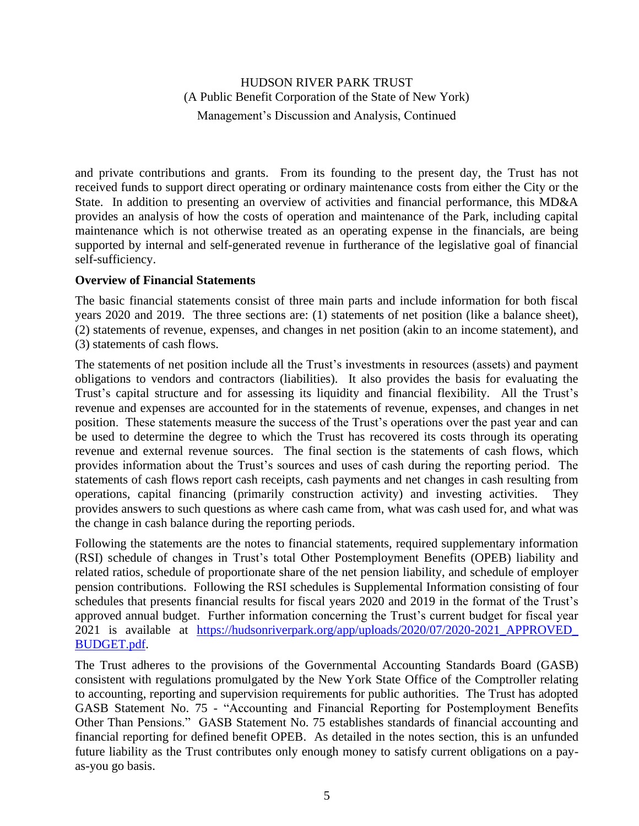and private contributions and grants. From its founding to the present day, the Trust has not received funds to support direct operating or ordinary maintenance costs from either the City or the State. In addition to presenting an overview of activities and financial performance, this MD&A provides an analysis of how the costs of operation and maintenance of the Park, including capital maintenance which is not otherwise treated as an operating expense in the financials, are being supported by internal and self-generated revenue in furtherance of the legislative goal of financial self-sufficiency.

#### **Overview of Financial Statements**

The basic financial statements consist of three main parts and include information for both fiscal years 2020 and 2019. The three sections are: (1) statements of net position (like a balance sheet), (2) statements of revenue, expenses, and changes in net position (akin to an income statement), and (3) statements of cash flows.

The statements of net position include all the Trust's investments in resources (assets) and payment obligations to vendors and contractors (liabilities). It also provides the basis for evaluating the Trust's capital structure and for assessing its liquidity and financial flexibility. All the Trust's revenue and expenses are accounted for in the statements of revenue, expenses, and changes in net position. These statements measure the success of the Trust's operations over the past year and can be used to determine the degree to which the Trust has recovered its costs through its operating revenue and external revenue sources. The final section is the statements of cash flows, which provides information about the Trust's sources and uses of cash during the reporting period. The statements of cash flows report cash receipts, cash payments and net changes in cash resulting from operations, capital financing (primarily construction activity) and investing activities. They provides answers to such questions as where cash came from, what was cash used for, and what was the change in cash balance during the reporting periods.

Following the statements are the notes to financial statements, required supplementary information (RSI) schedule of changes in Trust's total Other Postemployment Benefits (OPEB) liability and related ratios, schedule of proportionate share of the net pension liability, and schedule of employer pension contributions. Following the RSI schedules is Supplemental Information consisting of four schedules that presents financial results for fiscal years 2020 and 2019 in the format of the Trust's approved annual budget. Further information concerning the Trust's current budget for fiscal year 2021 is available at [https://hudsonriverpark.org/app/uploads/2020/07/2020-2021\\_APPROVED\\_](https://hudsonriverpark.org/app/uploads/2020/07/2020-2021_APPROVED_%0bBUDGET.pdf) [BUDGET.pdf.](https://hudsonriverpark.org/app/uploads/2020/07/2020-2021_APPROVED_%0bBUDGET.pdf)

The Trust adheres to the provisions of the Governmental Accounting Standards Board (GASB) consistent with regulations promulgated by the New York State Office of the Comptroller relating to accounting, reporting and supervision requirements for public authorities. The Trust has adopted GASB Statement No. 75 - "Accounting and Financial Reporting for Postemployment Benefits Other Than Pensions." GASB Statement No. 75 establishes standards of financial accounting and financial reporting for defined benefit OPEB. As detailed in the notes section, this is an unfunded future liability as the Trust contributes only enough money to satisfy current obligations on a payas-you go basis.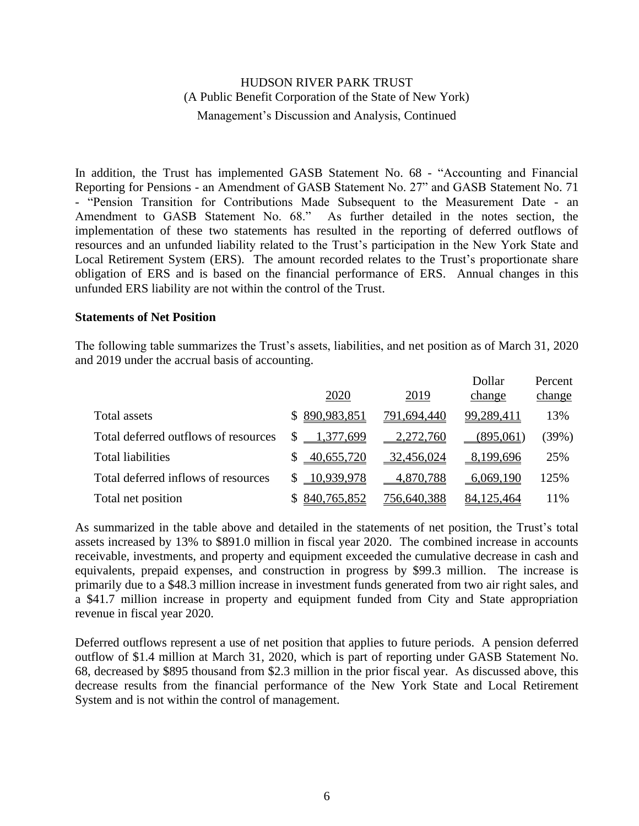In addition, the Trust has implemented GASB Statement No. 68 - "Accounting and Financial Reporting for Pensions - an Amendment of GASB Statement No. 27" and GASB Statement No. 71 - "Pension Transition for Contributions Made Subsequent to the Measurement Date - an Amendment to GASB Statement No. 68." As further detailed in the notes section, the implementation of these two statements has resulted in the reporting of deferred outflows of resources and an unfunded liability related to the Trust's participation in the New York State and Local Retirement System (ERS). The amount recorded relates to the Trust's proportionate share obligation of ERS and is based on the financial performance of ERS. Annual changes in this unfunded ERS liability are not within the control of the Trust.

#### **Statements of Net Position**

The following table summarizes the Trust's assets, liabilities, and net position as of March 31, 2020 and 2019 under the accrual basis of accounting.

|                                      | 2020          | 2019        | Dollar<br>change | Percent<br>change |
|--------------------------------------|---------------|-------------|------------------|-------------------|
| Total assets                         | 890,983,851   | 791,694,440 | 99,289,411       | 13%               |
| Total deferred outflows of resources | 1,377,699     | 2,272,760   | (895,061)        | (39%)             |
| <b>Total liabilities</b>             | 40,655,720    | 32,456,024  | 8,199,696        | 25%               |
| Total deferred inflows of resources  | $-10,939,978$ | 4,870,788   | 6,069,190        | 125%              |
| Total net position                   | 840,765,852   | 756,640,388 | 84,125,464       | 11%               |

As summarized in the table above and detailed in the statements of net position, the Trust's total assets increased by 13% to \$891.0 million in fiscal year 2020. The combined increase in accounts receivable, investments, and property and equipment exceeded the cumulative decrease in cash and equivalents, prepaid expenses, and construction in progress by \$99.3 million. The increase is primarily due to a \$48.3 million increase in investment funds generated from two air right sales, and a \$41.7 million increase in property and equipment funded from City and State appropriation revenue in fiscal year 2020.

Deferred outflows represent a use of net position that applies to future periods. A pension deferred outflow of \$1.4 million at March 31, 2020, which is part of reporting under GASB Statement No. 68, decreased by \$895 thousand from \$2.3 million in the prior fiscal year. As discussed above, this decrease results from the financial performance of the New York State and Local Retirement System and is not within the control of management.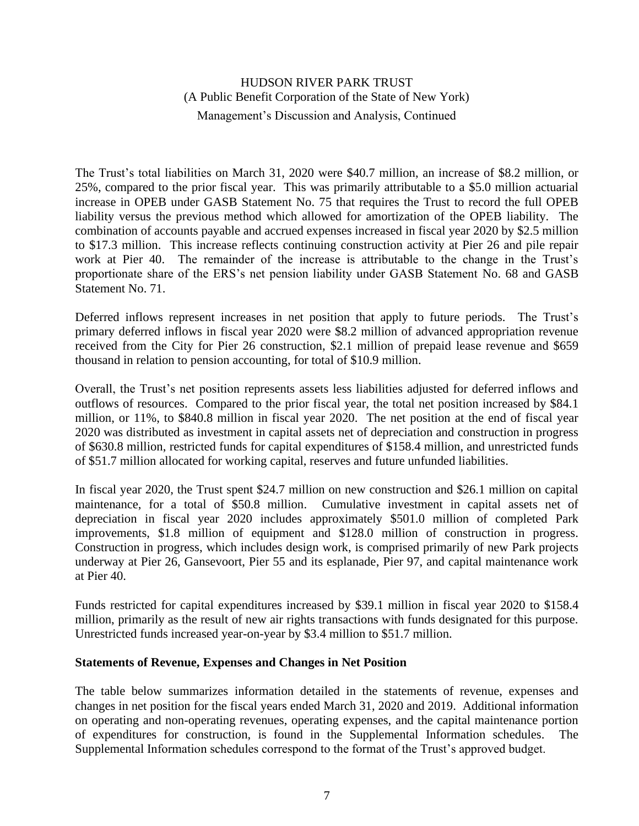The Trust's total liabilities on March 31, 2020 were \$40.7 million, an increase of \$8.2 million, or 25%, compared to the prior fiscal year. This was primarily attributable to a \$5.0 million actuarial increase in OPEB under GASB Statement No. 75 that requires the Trust to record the full OPEB liability versus the previous method which allowed for amortization of the OPEB liability. The combination of accounts payable and accrued expenses increased in fiscal year 2020 by \$2.5 million to \$17.3 million. This increase reflects continuing construction activity at Pier 26 and pile repair work at Pier 40. The remainder of the increase is attributable to the change in the Trust's proportionate share of the ERS's net pension liability under GASB Statement No. 68 and GASB Statement No. 71.

Deferred inflows represent increases in net position that apply to future periods. The Trust's primary deferred inflows in fiscal year 2020 were \$8.2 million of advanced appropriation revenue received from the City for Pier 26 construction, \$2.1 million of prepaid lease revenue and \$659 thousand in relation to pension accounting, for total of \$10.9 million.

Overall, the Trust's net position represents assets less liabilities adjusted for deferred inflows and outflows of resources. Compared to the prior fiscal year, the total net position increased by \$84.1 million, or 11%, to \$840.8 million in fiscal year 2020. The net position at the end of fiscal year 2020 was distributed as investment in capital assets net of depreciation and construction in progress of \$630.8 million, restricted funds for capital expenditures of \$158.4 million, and unrestricted funds of \$51.7 million allocated for working capital, reserves and future unfunded liabilities.

In fiscal year 2020, the Trust spent \$24.7 million on new construction and \$26.1 million on capital maintenance, for a total of \$50.8 million. Cumulative investment in capital assets net of depreciation in fiscal year 2020 includes approximately \$501.0 million of completed Park improvements, \$1.8 million of equipment and \$128.0 million of construction in progress. Construction in progress, which includes design work, is comprised primarily of new Park projects underway at Pier 26, Gansevoort, Pier 55 and its esplanade, Pier 97, and capital maintenance work at Pier 40.

Funds restricted for capital expenditures increased by \$39.1 million in fiscal year 2020 to \$158.4 million, primarily as the result of new air rights transactions with funds designated for this purpose. Unrestricted funds increased year-on-year by \$3.4 million to \$51.7 million.

#### **Statements of Revenue, Expenses and Changes in Net Position**

The table below summarizes information detailed in the statements of revenue, expenses and changes in net position for the fiscal years ended March 31, 2020 and 2019. Additional information on operating and non-operating revenues, operating expenses, and the capital maintenance portion of expenditures for construction, is found in the Supplemental Information schedules. The Supplemental Information schedules correspond to the format of the Trust's approved budget.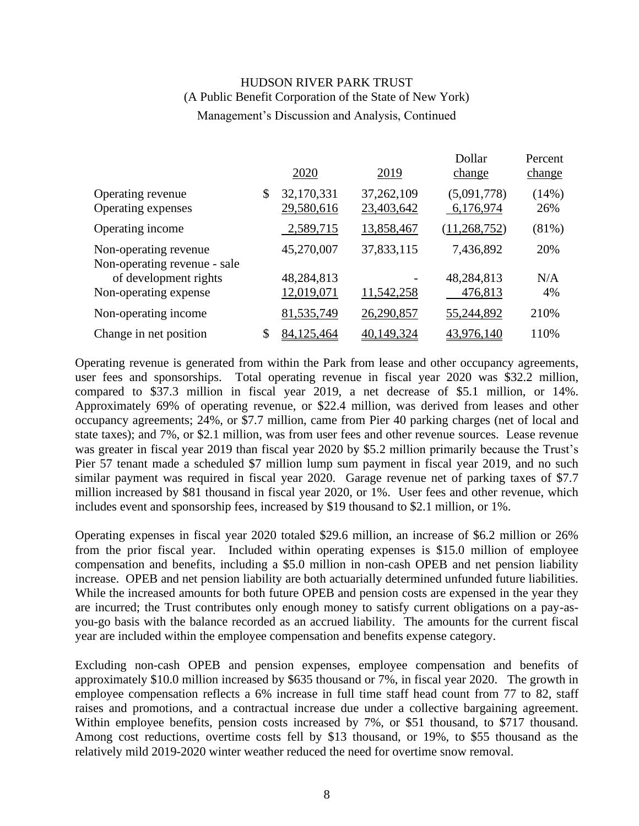|                                                       | 2020                           | 2019                     | Dollar<br>change         | Percent<br>change |
|-------------------------------------------------------|--------------------------------|--------------------------|--------------------------|-------------------|
| Operating revenue<br>Operating expenses               | \$<br>32,170,331<br>29,580,616 | 37,262,109<br>23,403,642 | (5,091,778)<br>6,176,974 | (14%)<br>26%      |
| Operating income                                      | 2,589,715                      | 13,858,467               | (11, 268, 752)           | (81%)             |
| Non-operating revenue<br>Non-operating revenue - sale | 45,270,007                     | 37,833,115               | 7,436,892                | 20%               |
| of development rights                                 | 48,284,813                     |                          | 48,284,813               | N/A               |
| Non-operating expense                                 | 12,019,071                     | 11,542,258               | 476,813                  | 4%                |
| Non-operating income                                  | 81,535,749                     | 26,290,857               | 55,244,892               | 210%              |
| Change in net position                                | \$<br>84,125,464               | 40,149,324               | 43,976,140               | 110%              |

Operating revenue is generated from within the Park from lease and other occupancy agreements, user fees and sponsorships. Total operating revenue in fiscal year 2020 was \$32.2 million, compared to \$37.3 million in fiscal year 2019, a net decrease of \$5.1 million, or 14%. Approximately 69% of operating revenue, or \$22.4 million, was derived from leases and other occupancy agreements; 24%, or \$7.7 million, came from Pier 40 parking charges (net of local and state taxes); and 7%, or \$2.1 million, was from user fees and other revenue sources. Lease revenue was greater in fiscal year 2019 than fiscal year 2020 by \$5.2 million primarily because the Trust's Pier 57 tenant made a scheduled \$7 million lump sum payment in fiscal year 2019, and no such similar payment was required in fiscal year 2020. Garage revenue net of parking taxes of \$7.7 million increased by \$81 thousand in fiscal year 2020, or 1%. User fees and other revenue, which includes event and sponsorship fees, increased by \$19 thousand to \$2.1 million, or 1%.

Operating expenses in fiscal year 2020 totaled \$29.6 million, an increase of \$6.2 million or 26% from the prior fiscal year. Included within operating expenses is \$15.0 million of employee compensation and benefits, including a \$5.0 million in non-cash OPEB and net pension liability increase. OPEB and net pension liability are both actuarially determined unfunded future liabilities. While the increased amounts for both future OPEB and pension costs are expensed in the year they are incurred; the Trust contributes only enough money to satisfy current obligations on a pay-asyou-go basis with the balance recorded as an accrued liability. The amounts for the current fiscal year are included within the employee compensation and benefits expense category.

Excluding non-cash OPEB and pension expenses, employee compensation and benefits of approximately \$10.0 million increased by \$635 thousand or 7%, in fiscal year 2020. The growth in employee compensation reflects a 6% increase in full time staff head count from 77 to 82, staff raises and promotions, and a contractual increase due under a collective bargaining agreement. Within employee benefits, pension costs increased by 7%, or \$51 thousand, to \$717 thousand. Among cost reductions, overtime costs fell by \$13 thousand, or 19%, to \$55 thousand as the relatively mild 2019-2020 winter weather reduced the need for overtime snow removal.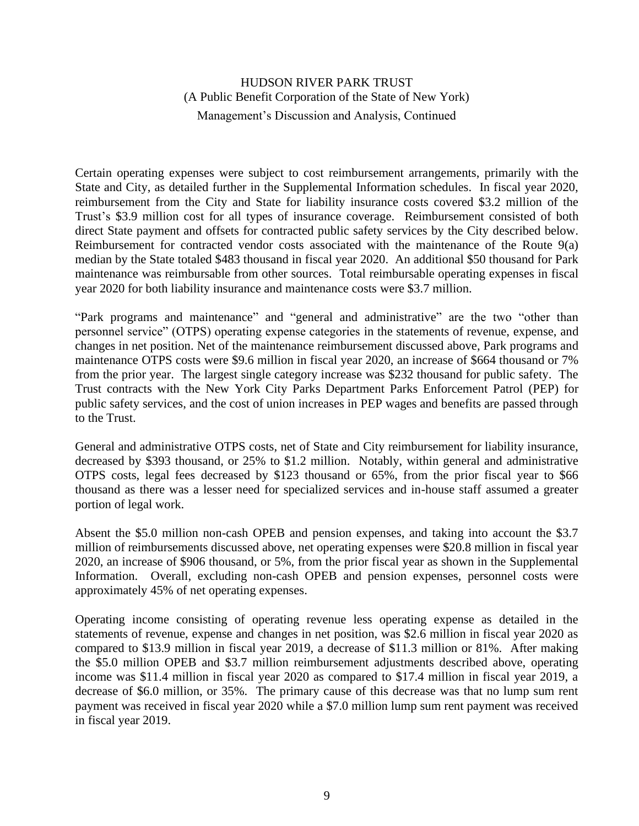Certain operating expenses were subject to cost reimbursement arrangements, primarily with the State and City, as detailed further in the Supplemental Information schedules. In fiscal year 2020, reimbursement from the City and State for liability insurance costs covered \$3.2 million of the Trust's \$3.9 million cost for all types of insurance coverage. Reimbursement consisted of both direct State payment and offsets for contracted public safety services by the City described below. Reimbursement for contracted vendor costs associated with the maintenance of the Route 9(a) median by the State totaled \$483 thousand in fiscal year 2020. An additional \$50 thousand for Park maintenance was reimbursable from other sources. Total reimbursable operating expenses in fiscal year 2020 for both liability insurance and maintenance costs were \$3.7 million.

"Park programs and maintenance" and "general and administrative" are the two "other than personnel service" (OTPS) operating expense categories in the statements of revenue, expense, and changes in net position. Net of the maintenance reimbursement discussed above, Park programs and maintenance OTPS costs were \$9.6 million in fiscal year 2020, an increase of \$664 thousand or 7% from the prior year. The largest single category increase was \$232 thousand for public safety. The Trust contracts with the New York City Parks Department Parks Enforcement Patrol (PEP) for public safety services, and the cost of union increases in PEP wages and benefits are passed through to the Trust.

General and administrative OTPS costs, net of State and City reimbursement for liability insurance, decreased by \$393 thousand, or 25% to \$1.2 million. Notably, within general and administrative OTPS costs, legal fees decreased by \$123 thousand or 65%, from the prior fiscal year to \$66 thousand as there was a lesser need for specialized services and in-house staff assumed a greater portion of legal work.

Absent the \$5.0 million non-cash OPEB and pension expenses, and taking into account the \$3.7 million of reimbursements discussed above, net operating expenses were \$20.8 million in fiscal year 2020, an increase of \$906 thousand, or 5%, from the prior fiscal year as shown in the Supplemental Information. Overall, excluding non-cash OPEB and pension expenses, personnel costs were approximately 45% of net operating expenses.

Operating income consisting of operating revenue less operating expense as detailed in the statements of revenue, expense and changes in net position, was \$2.6 million in fiscal year 2020 as compared to \$13.9 million in fiscal year 2019, a decrease of \$11.3 million or 81%. After making the \$5.0 million OPEB and \$3.7 million reimbursement adjustments described above, operating income was \$11.4 million in fiscal year 2020 as compared to \$17.4 million in fiscal year 2019, a decrease of \$6.0 million, or 35%. The primary cause of this decrease was that no lump sum rent payment was received in fiscal year 2020 while a \$7.0 million lump sum rent payment was received in fiscal year 2019.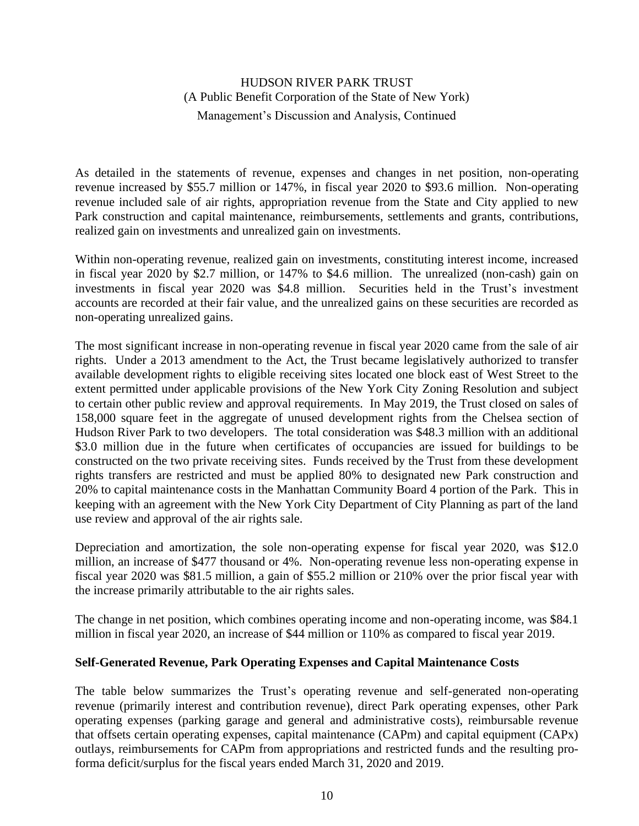As detailed in the statements of revenue, expenses and changes in net position, non-operating revenue increased by \$55.7 million or 147%, in fiscal year 2020 to \$93.6 million. Non-operating revenue included sale of air rights, appropriation revenue from the State and City applied to new Park construction and capital maintenance, reimbursements, settlements and grants, contributions, realized gain on investments and unrealized gain on investments.

Within non-operating revenue, realized gain on investments, constituting interest income, increased in fiscal year 2020 by \$2.7 million, or 147% to \$4.6 million. The unrealized (non-cash) gain on investments in fiscal year 2020 was \$4.8 million. Securities held in the Trust's investment accounts are recorded at their fair value, and the unrealized gains on these securities are recorded as non-operating unrealized gains.

The most significant increase in non-operating revenue in fiscal year 2020 came from the sale of air rights. Under a 2013 amendment to the Act, the Trust became legislatively authorized to transfer available development rights to eligible receiving sites located one block east of West Street to the extent permitted under applicable provisions of the New York City Zoning Resolution and subject to certain other public review and approval requirements. In May 2019, the Trust closed on sales of 158,000 square feet in the aggregate of unused development rights from the Chelsea section of Hudson River Park to two developers. The total consideration was \$48.3 million with an additional \$3.0 million due in the future when certificates of occupancies are issued for buildings to be constructed on the two private receiving sites. Funds received by the Trust from these development rights transfers are restricted and must be applied 80% to designated new Park construction and 20% to capital maintenance costs in the Manhattan Community Board 4 portion of the Park. This in keeping with an agreement with the New York City Department of City Planning as part of the land use review and approval of the air rights sale.

Depreciation and amortization, the sole non-operating expense for fiscal year 2020, was \$12.0 million, an increase of \$477 thousand or 4%. Non-operating revenue less non-operating expense in fiscal year 2020 was \$81.5 million, a gain of \$55.2 million or 210% over the prior fiscal year with the increase primarily attributable to the air rights sales.

The change in net position, which combines operating income and non-operating income, was \$84.1 million in fiscal year 2020, an increase of \$44 million or 110% as compared to fiscal year 2019.

#### **Self-Generated Revenue, Park Operating Expenses and Capital Maintenance Costs**

The table below summarizes the Trust's operating revenue and self-generated non-operating revenue (primarily interest and contribution revenue), direct Park operating expenses, other Park operating expenses (parking garage and general and administrative costs), reimbursable revenue that offsets certain operating expenses, capital maintenance (CAPm) and capital equipment (CAPx) outlays, reimbursements for CAPm from appropriations and restricted funds and the resulting proforma deficit/surplus for the fiscal years ended March 31, 2020 and 2019.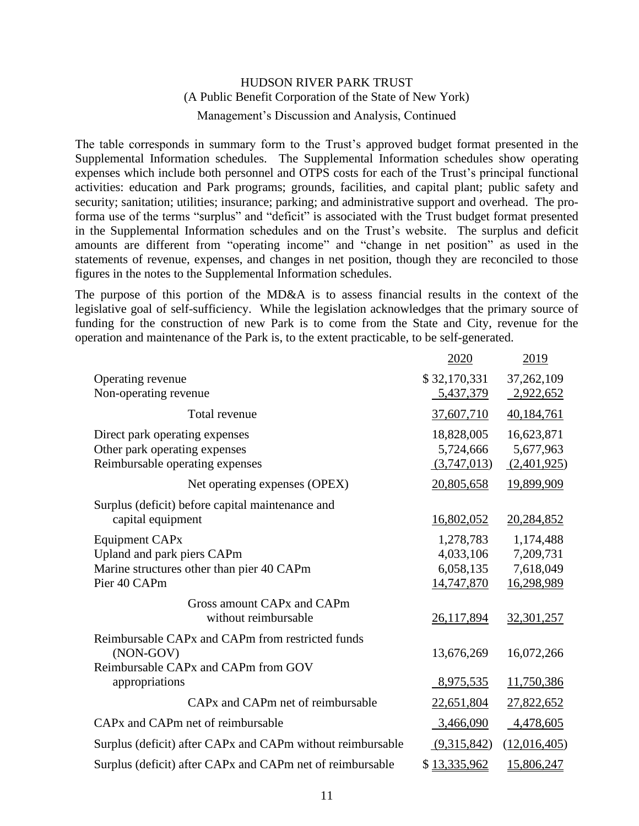### HUDSON RIVER PARK TRUST (A Public Benefit Corporation of the State of New York)

#### Management's Discussion and Analysis, Continued

The table corresponds in summary form to the Trust's approved budget format presented in the Supplemental Information schedules. The Supplemental Information schedules show operating expenses which include both personnel and OTPS costs for each of the Trust's principal functional activities: education and Park programs; grounds, facilities, and capital plant; public safety and security; sanitation; utilities; insurance; parking; and administrative support and overhead. The proforma use of the terms "surplus" and "deficit" is associated with the Trust budget format presented in the Supplemental Information schedules and on the Trust's website. The surplus and deficit amounts are different from "operating income" and "change in net position" as used in the statements of revenue, expenses, and changes in net position, though they are reconciled to those figures in the notes to the Supplemental Information schedules.

The purpose of this portion of the MD&A is to assess financial results in the context of the legislative goal of self-sufficiency. While the legislation acknowledges that the primary source of funding for the construction of new Park is to come from the State and City, revenue for the operation and maintenance of the Park is, to the extent practicable, to be self-generated.

|                                                                                                                                                | 2020                                              | 2019                                              |
|------------------------------------------------------------------------------------------------------------------------------------------------|---------------------------------------------------|---------------------------------------------------|
| Operating revenue<br>Non-operating revenue                                                                                                     | \$32,170,331<br>5,437,379                         | 37,262,109<br><u>2,922,652</u>                    |
| Total revenue                                                                                                                                  | 37,607,710                                        | 40,184,761                                        |
| Direct park operating expenses<br>Other park operating expenses<br>Reimbursable operating expenses                                             | 18,828,005<br>5,724,666<br>(3,747,013)            | 16,623,871<br>5,677,963<br>(2,401,925)            |
| Net operating expenses (OPEX)                                                                                                                  | 20,805,658                                        | 19,899,909                                        |
| Surplus (deficit) before capital maintenance and<br>capital equipment                                                                          | 16,802,052                                        | 20,284,852                                        |
| Equipment CAP <sub>x</sub><br>Upland and park piers CAPm<br>Marine structures other than pier 40 CAPm<br>Pier 40 CAPm                          | 1,278,783<br>4,033,106<br>6,058,135<br>14,747,870 | 1,174,488<br>7,209,731<br>7,618,049<br>16,298,989 |
| Gross amount CAP <sub>x</sub> and CAP <sub>m</sub><br>without reimbursable                                                                     | 26,117,894                                        | 32,301,257                                        |
| Reimbursable CAP <sub>x</sub> and CAP <sub>m</sub> from restricted funds<br>(NON-GOV)<br>Reimbursable CAPx and CAPm from GOV<br>appropriations | 13,676,269<br>8,975,535                           | 16,072,266<br>11,750,386                          |
| CAP <sub>x</sub> and CAP <sub>m</sub> net of reimbursable                                                                                      | 22,651,804                                        | 27,822,652                                        |
| CAP <sub>x</sub> and CAP <sub>m</sub> net of reimbursable                                                                                      | 3,466,090                                         | 4,478,605                                         |
| Surplus (deficit) after CAPx and CAPm without reimbursable                                                                                     | (9,315,842)                                       | (12,016,405)                                      |
| Surplus (deficit) after CAPx and CAPm net of reimbursable                                                                                      | \$13,335,962                                      | 15,806,247                                        |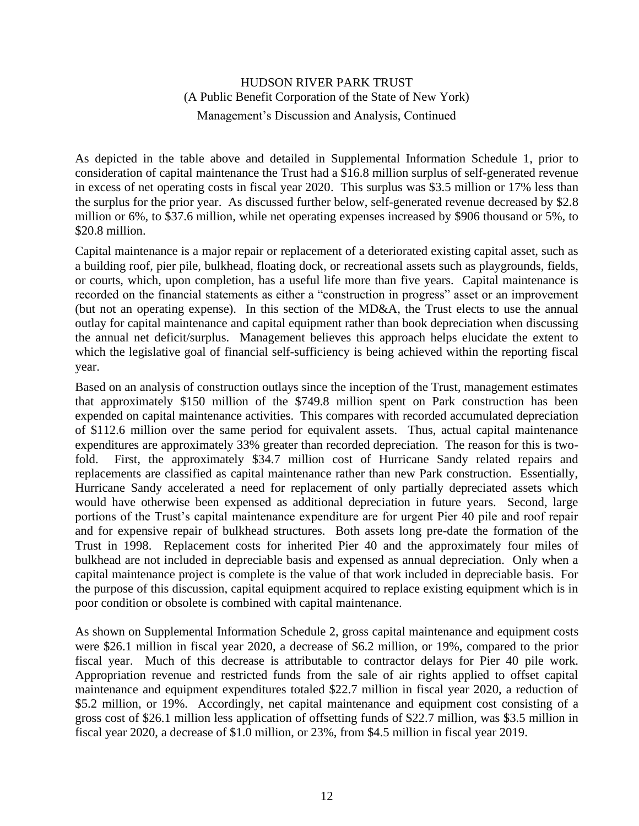As depicted in the table above and detailed in Supplemental Information Schedule 1, prior to consideration of capital maintenance the Trust had a \$16.8 million surplus of self-generated revenue in excess of net operating costs in fiscal year 2020. This surplus was \$3.5 million or 17% less than the surplus for the prior year. As discussed further below, self-generated revenue decreased by \$2.8 million or 6%, to \$37.6 million, while net operating expenses increased by \$906 thousand or 5%, to \$20.8 million.

Capital maintenance is a major repair or replacement of a deteriorated existing capital asset, such as a building roof, pier pile, bulkhead, floating dock, or recreational assets such as playgrounds, fields, or courts, which, upon completion, has a useful life more than five years. Capital maintenance is recorded on the financial statements as either a "construction in progress" asset or an improvement (but not an operating expense). In this section of the MD&A, the Trust elects to use the annual outlay for capital maintenance and capital equipment rather than book depreciation when discussing the annual net deficit/surplus. Management believes this approach helps elucidate the extent to which the legislative goal of financial self-sufficiency is being achieved within the reporting fiscal year.

Based on an analysis of construction outlays since the inception of the Trust, management estimates that approximately \$150 million of the \$749.8 million spent on Park construction has been expended on capital maintenance activities. This compares with recorded accumulated depreciation of \$112.6 million over the same period for equivalent assets. Thus, actual capital maintenance expenditures are approximately 33% greater than recorded depreciation. The reason for this is twofold. First, the approximately \$34.7 million cost of Hurricane Sandy related repairs and replacements are classified as capital maintenance rather than new Park construction. Essentially, Hurricane Sandy accelerated a need for replacement of only partially depreciated assets which would have otherwise been expensed as additional depreciation in future years. Second, large portions of the Trust's capital maintenance expenditure are for urgent Pier 40 pile and roof repair and for expensive repair of bulkhead structures. Both assets long pre-date the formation of the Trust in 1998. Replacement costs for inherited Pier 40 and the approximately four miles of bulkhead are not included in depreciable basis and expensed as annual depreciation. Only when a capital maintenance project is complete is the value of that work included in depreciable basis. For the purpose of this discussion, capital equipment acquired to replace existing equipment which is in poor condition or obsolete is combined with capital maintenance.

As shown on Supplemental Information Schedule 2, gross capital maintenance and equipment costs were \$26.1 million in fiscal year 2020, a decrease of \$6.2 million, or 19%, compared to the prior fiscal year. Much of this decrease is attributable to contractor delays for Pier 40 pile work. Appropriation revenue and restricted funds from the sale of air rights applied to offset capital maintenance and equipment expenditures totaled \$22.7 million in fiscal year 2020, a reduction of \$5.2 million, or 19%. Accordingly, net capital maintenance and equipment cost consisting of a gross cost of \$26.1 million less application of offsetting funds of \$22.7 million, was \$3.5 million in fiscal year 2020, a decrease of \$1.0 million, or 23%, from \$4.5 million in fiscal year 2019.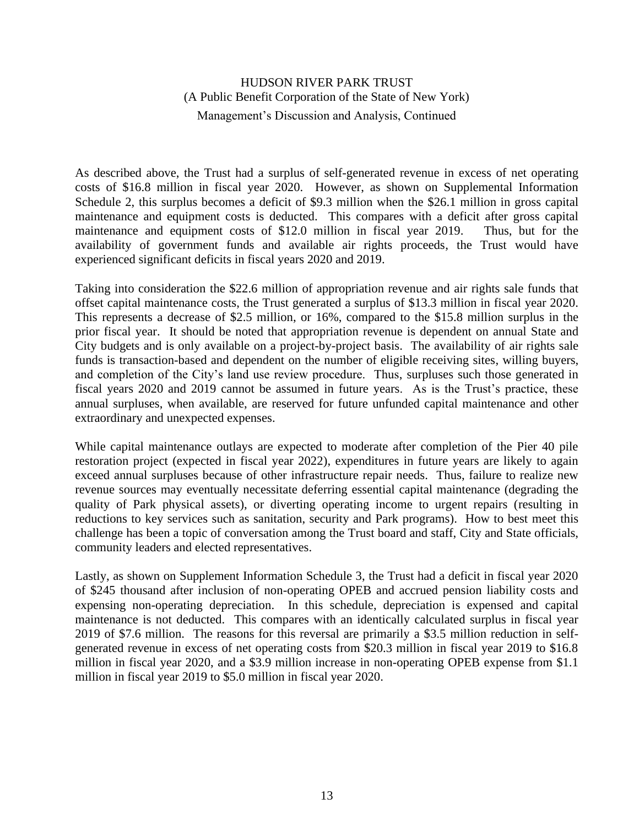As described above, the Trust had a surplus of self-generated revenue in excess of net operating costs of \$16.8 million in fiscal year 2020. However, as shown on Supplemental Information Schedule 2, this surplus becomes a deficit of \$9.3 million when the \$26.1 million in gross capital maintenance and equipment costs is deducted. This compares with a deficit after gross capital maintenance and equipment costs of \$12.0 million in fiscal year 2019. Thus, but for the availability of government funds and available air rights proceeds, the Trust would have experienced significant deficits in fiscal years 2020 and 2019.

Taking into consideration the \$22.6 million of appropriation revenue and air rights sale funds that offset capital maintenance costs, the Trust generated a surplus of \$13.3 million in fiscal year 2020. This represents a decrease of \$2.5 million, or 16%, compared to the \$15.8 million surplus in the prior fiscal year. It should be noted that appropriation revenue is dependent on annual State and City budgets and is only available on a project-by-project basis. The availability of air rights sale funds is transaction-based and dependent on the number of eligible receiving sites, willing buyers, and completion of the City's land use review procedure. Thus, surpluses such those generated in fiscal years 2020 and 2019 cannot be assumed in future years. As is the Trust's practice, these annual surpluses, when available, are reserved for future unfunded capital maintenance and other extraordinary and unexpected expenses.

While capital maintenance outlays are expected to moderate after completion of the Pier 40 pile restoration project (expected in fiscal year 2022), expenditures in future years are likely to again exceed annual surpluses because of other infrastructure repair needs. Thus, failure to realize new revenue sources may eventually necessitate deferring essential capital maintenance (degrading the quality of Park physical assets), or diverting operating income to urgent repairs (resulting in reductions to key services such as sanitation, security and Park programs). How to best meet this challenge has been a topic of conversation among the Trust board and staff, City and State officials, community leaders and elected representatives.

Lastly, as shown on Supplement Information Schedule 3, the Trust had a deficit in fiscal year 2020 of \$245 thousand after inclusion of non-operating OPEB and accrued pension liability costs and expensing non-operating depreciation. In this schedule, depreciation is expensed and capital maintenance is not deducted. This compares with an identically calculated surplus in fiscal year 2019 of \$7.6 million. The reasons for this reversal are primarily a \$3.5 million reduction in selfgenerated revenue in excess of net operating costs from \$20.3 million in fiscal year 2019 to \$16.8 million in fiscal year 2020, and a \$3.9 million increase in non-operating OPEB expense from \$1.1 million in fiscal year 2019 to \$5.0 million in fiscal year 2020.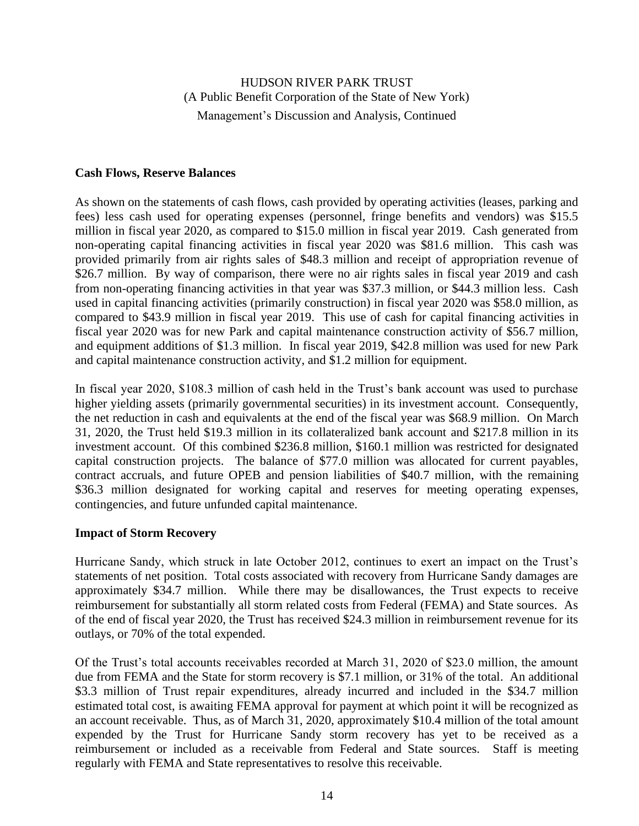#### **Cash Flows, Reserve Balances**

As shown on the statements of cash flows, cash provided by operating activities (leases, parking and fees) less cash used for operating expenses (personnel, fringe benefits and vendors) was \$15.5 million in fiscal year 2020, as compared to \$15.0 million in fiscal year 2019. Cash generated from non-operating capital financing activities in fiscal year 2020 was \$81.6 million. This cash was provided primarily from air rights sales of \$48.3 million and receipt of appropriation revenue of \$26.7 million. By way of comparison, there were no air rights sales in fiscal year 2019 and cash from non-operating financing activities in that year was \$37.3 million, or \$44.3 million less. Cash used in capital financing activities (primarily construction) in fiscal year 2020 was \$58.0 million, as compared to \$43.9 million in fiscal year 2019. This use of cash for capital financing activities in fiscal year 2020 was for new Park and capital maintenance construction activity of \$56.7 million, and equipment additions of \$1.3 million. In fiscal year 2019, \$42.8 million was used for new Park and capital maintenance construction activity, and \$1.2 million for equipment.

In fiscal year 2020, \$108.3 million of cash held in the Trust's bank account was used to purchase higher yielding assets (primarily governmental securities) in its investment account. Consequently, the net reduction in cash and equivalents at the end of the fiscal year was \$68.9 million. On March 31, 2020, the Trust held \$19.3 million in its collateralized bank account and \$217.8 million in its investment account. Of this combined \$236.8 million, \$160.1 million was restricted for designated capital construction projects. The balance of \$77.0 million was allocated for current payables, contract accruals, and future OPEB and pension liabilities of \$40.7 million, with the remaining \$36.3 million designated for working capital and reserves for meeting operating expenses, contingencies, and future unfunded capital maintenance.

#### **Impact of Storm Recovery**

Hurricane Sandy, which struck in late October 2012, continues to exert an impact on the Trust's statements of net position. Total costs associated with recovery from Hurricane Sandy damages are approximately \$34.7 million. While there may be disallowances, the Trust expects to receive reimbursement for substantially all storm related costs from Federal (FEMA) and State sources. As of the end of fiscal year 2020, the Trust has received \$24.3 million in reimbursement revenue for its outlays, or 70% of the total expended.

Of the Trust's total accounts receivables recorded at March 31, 2020 of \$23.0 million, the amount due from FEMA and the State for storm recovery is \$7.1 million, or 31% of the total. An additional \$3.3 million of Trust repair expenditures, already incurred and included in the \$34.7 million estimated total cost, is awaiting FEMA approval for payment at which point it will be recognized as an account receivable. Thus, as of March 31, 2020, approximately \$10.4 million of the total amount expended by the Trust for Hurricane Sandy storm recovery has yet to be received as a reimbursement or included as a receivable from Federal and State sources. Staff is meeting regularly with FEMA and State representatives to resolve this receivable.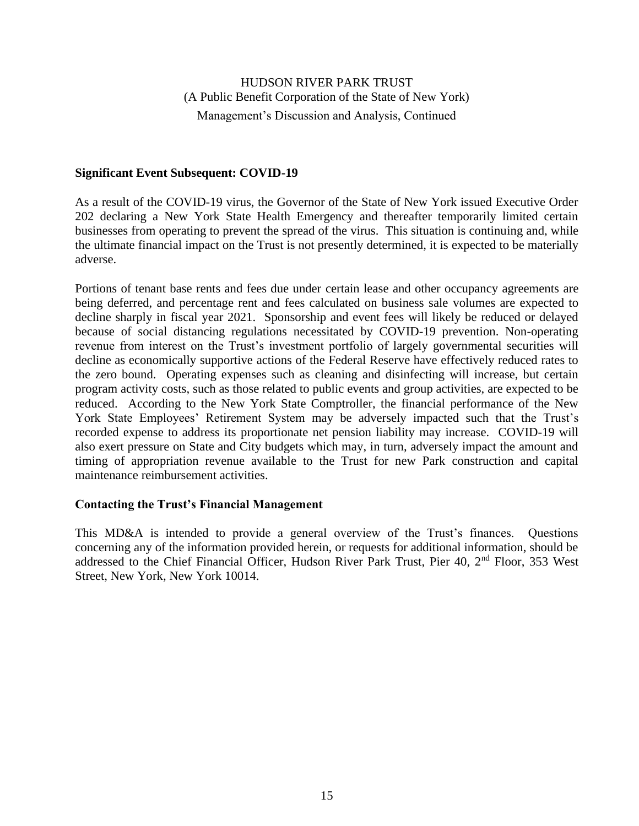#### **Significant Event Subsequent: COVID-19**

As a result of the COVID-19 virus, the Governor of the State of New York issued Executive Order 202 declaring a New York State Health Emergency and thereafter temporarily limited certain businesses from operating to prevent the spread of the virus. This situation is continuing and, while the ultimate financial impact on the Trust is not presently determined, it is expected to be materially adverse.

Portions of tenant base rents and fees due under certain lease and other occupancy agreements are being deferred, and percentage rent and fees calculated on business sale volumes are expected to decline sharply in fiscal year 2021. Sponsorship and event fees will likely be reduced or delayed because of social distancing regulations necessitated by COVID-19 prevention. Non-operating revenue from interest on the Trust's investment portfolio of largely governmental securities will decline as economically supportive actions of the Federal Reserve have effectively reduced rates to the zero bound. Operating expenses such as cleaning and disinfecting will increase, but certain program activity costs, such as those related to public events and group activities, are expected to be reduced. According to the New York State Comptroller, the financial performance of the New York State Employees' Retirement System may be adversely impacted such that the Trust's recorded expense to address its proportionate net pension liability may increase. COVID-19 will also exert pressure on State and City budgets which may, in turn, adversely impact the amount and timing of appropriation revenue available to the Trust for new Park construction and capital maintenance reimbursement activities.

#### **Contacting the Trust's Financial Management**

This MD&A is intended to provide a general overview of the Trust's finances. Questions concerning any of the information provided herein, or requests for additional information, should be addressed to the Chief Financial Officer, Hudson River Park Trust, Pier 40, 2nd Floor, 353 West Street, New York, New York 10014.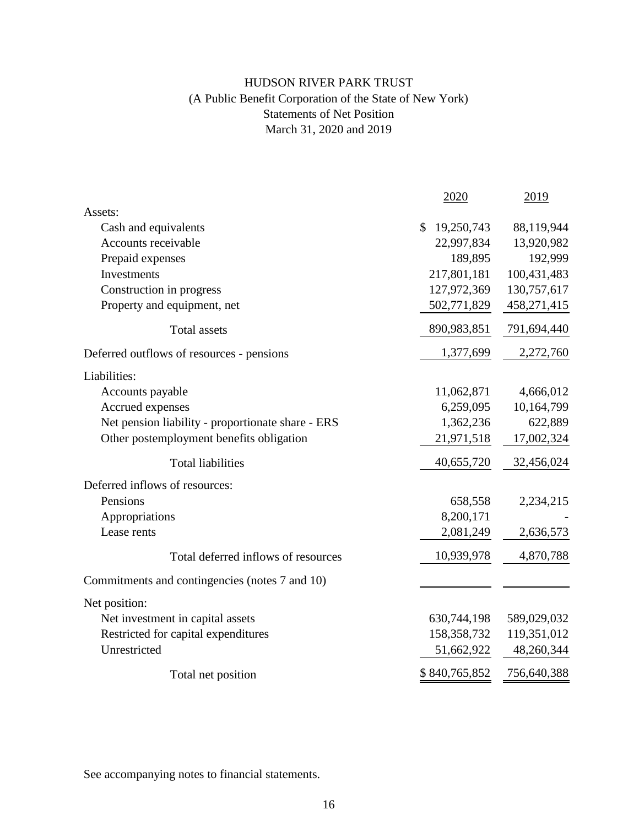### HUDSON RIVER PARK TRUST Statements of Net Position March 31, 2020 and 2019 (A Public Benefit Corporation of the State of New York)

|                                                   | 2020             | 2019        |
|---------------------------------------------------|------------------|-------------|
| Assets:                                           |                  |             |
| Cash and equivalents                              | 19,250,743<br>\$ | 88,119,944  |
| Accounts receivable                               | 22,997,834       | 13,920,982  |
| Prepaid expenses                                  | 189,895          | 192,999     |
| Investments                                       | 217,801,181      | 100,431,483 |
| Construction in progress                          | 127,972,369      | 130,757,617 |
| Property and equipment, net                       | 502,771,829      | 458,271,415 |
| <b>Total assets</b>                               | 890,983,851      | 791,694,440 |
| Deferred outflows of resources - pensions         | 1,377,699        | 2,272,760   |
| Liabilities:                                      |                  |             |
| Accounts payable                                  | 11,062,871       | 4,666,012   |
| Accrued expenses                                  | 6,259,095        | 10,164,799  |
| Net pension liability - proportionate share - ERS | 1,362,236        | 622,889     |
| Other postemployment benefits obligation          | 21,971,518       | 17,002,324  |
| <b>Total liabilities</b>                          | 40,655,720       | 32,456,024  |
| Deferred inflows of resources:                    |                  |             |
| Pensions                                          | 658,558          | 2,234,215   |
| Appropriations                                    | 8,200,171        |             |
| Lease rents                                       | 2,081,249        | 2,636,573   |
| Total deferred inflows of resources               | 10,939,978       | 4,870,788   |
| Commitments and contingencies (notes 7 and 10)    |                  |             |
| Net position:                                     |                  |             |
| Net investment in capital assets                  | 630,744,198      | 589,029,032 |
| Restricted for capital expenditures               | 158,358,732      | 119,351,012 |
| Unrestricted                                      | 51,662,922       | 48,260,344  |
| Total net position                                | \$840,765,852    | 756,640,388 |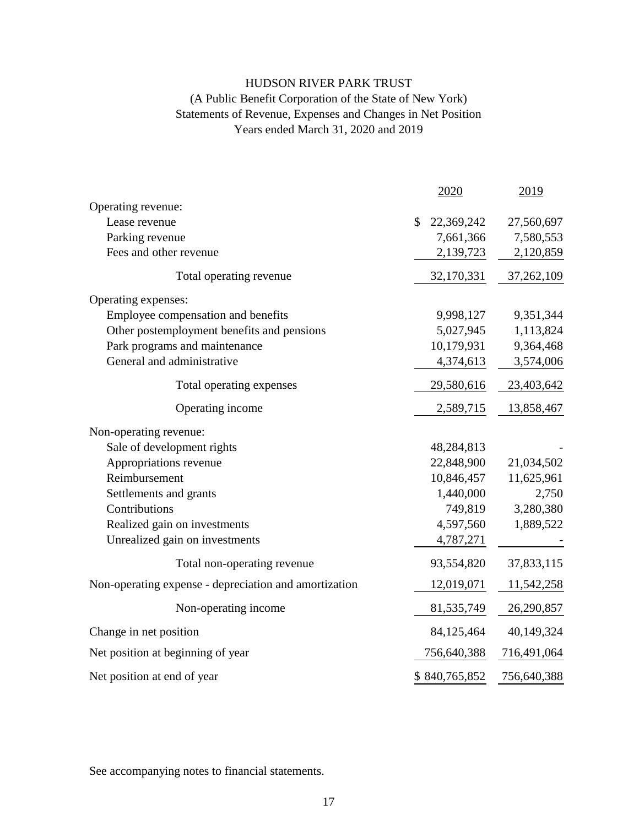### HUDSON RIVER PARK TRUST (A Public Benefit Corporation of the State of New York) Statements of Revenue, Expenses and Changes in Net Position Years ended March 31, 2020 and 2019

|                                                       | 2020             | 2019        |
|-------------------------------------------------------|------------------|-------------|
| Operating revenue:                                    |                  |             |
| Lease revenue                                         | \$<br>22,369,242 | 27,560,697  |
| Parking revenue                                       | 7,661,366        | 7,580,553   |
| Fees and other revenue                                | 2,139,723        | 2,120,859   |
| Total operating revenue                               | 32,170,331       | 37,262,109  |
| Operating expenses:                                   |                  |             |
| Employee compensation and benefits                    | 9,998,127        | 9,351,344   |
| Other postemployment benefits and pensions            | 5,027,945        | 1,113,824   |
| Park programs and maintenance                         | 10,179,931       | 9,364,468   |
| General and administrative                            | 4,374,613        | 3,574,006   |
| Total operating expenses                              | 29,580,616       | 23,403,642  |
| Operating income                                      | 2,589,715        | 13,858,467  |
| Non-operating revenue:                                |                  |             |
| Sale of development rights                            | 48,284,813       |             |
| Appropriations revenue                                | 22,848,900       | 21,034,502  |
| Reimbursement                                         | 10,846,457       | 11,625,961  |
| Settlements and grants                                | 1,440,000        | 2,750       |
| Contributions                                         | 749,819          | 3,280,380   |
| Realized gain on investments                          | 4,597,560        | 1,889,522   |
| Unrealized gain on investments                        | 4,787,271        |             |
| Total non-operating revenue                           | 93,554,820       | 37,833,115  |
| Non-operating expense - depreciation and amortization | 12,019,071       | 11,542,258  |
| Non-operating income                                  | 81, 535, 749     | 26,290,857  |
| Change in net position                                | 84,125,464       | 40,149,324  |
| Net position at beginning of year                     | 756,640,388      | 716,491,064 |
| Net position at end of year                           | \$840,765,852    | 756,640,388 |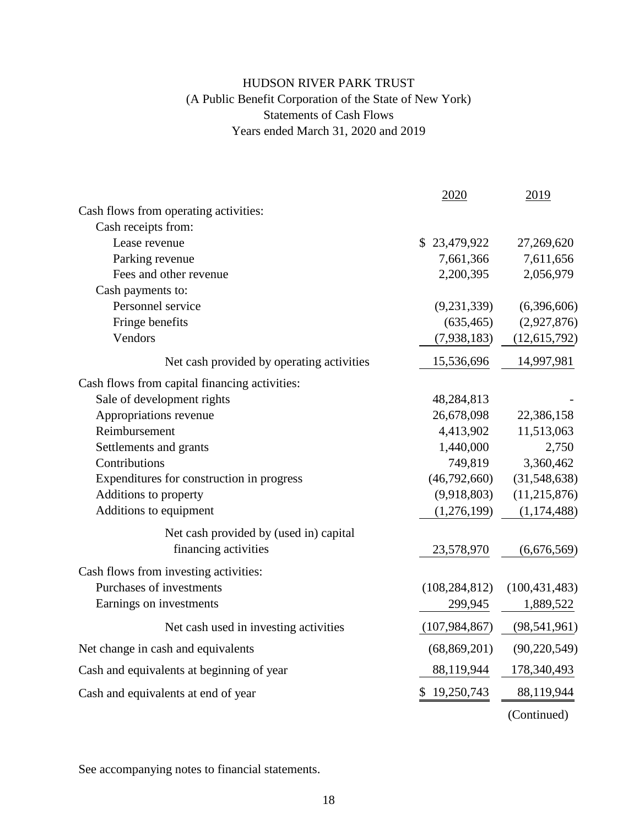### (A Public Benefit Corporation of the State of New York) Years ended March 31, 2020 and 2019 HUDSON RIVER PARK TRUST Statements of Cash Flows

|                                               | 2020             | 2019            |
|-----------------------------------------------|------------------|-----------------|
| Cash flows from operating activities:         |                  |                 |
| Cash receipts from:                           |                  |                 |
| Lease revenue                                 | \$23,479,922     | 27,269,620      |
| Parking revenue                               | 7,661,366        | 7,611,656       |
| Fees and other revenue                        | 2,200,395        | 2,056,979       |
| Cash payments to:                             |                  |                 |
| Personnel service                             | (9, 231, 339)    | (6,396,606)     |
| Fringe benefits                               | (635, 465)       | (2,927,876)     |
| Vendors                                       | (7,938,183)      | (12, 615, 792)  |
| Net cash provided by operating activities     | 15,536,696       | 14,997,981      |
| Cash flows from capital financing activities: |                  |                 |
| Sale of development rights                    | 48,284,813       |                 |
| Appropriations revenue                        | 26,678,098       | 22,386,158      |
| Reimbursement                                 | 4,413,902        | 11,513,063      |
| Settlements and grants                        | 1,440,000        | 2,750           |
| Contributions                                 | 749,819          | 3,360,462       |
| Expenditures for construction in progress     | (46,792,660)     | (31,548,638)    |
| Additions to property                         | (9,918,803)      | (11,215,876)    |
| Additions to equipment                        | (1,276,199)      | (1,174,488)     |
| Net cash provided by (used in) capital        |                  |                 |
| financing activities                          | 23,578,970       | (6,676,569)     |
| Cash flows from investing activities:         |                  |                 |
| Purchases of investments                      | (108, 284, 812)  | (100, 431, 483) |
| Earnings on investments                       | 299,945          | 1,889,522       |
| Net cash used in investing activities         | (107, 984, 867)  | (98, 541, 961)  |
| Net change in cash and equivalents            | (68, 869, 201)   | (90, 220, 549)  |
| Cash and equivalents at beginning of year     | 88,119,944       | 178,340,493     |
| Cash and equivalents at end of year           | 19,250,743<br>\$ | 88,119,944      |
|                                               |                  | (Continued)     |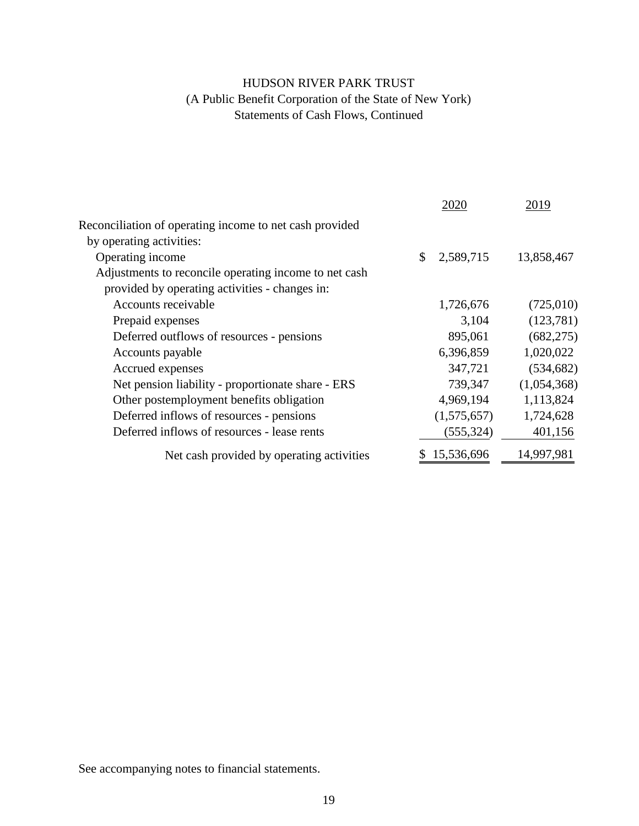### HUDSON RIVER PARK TRUST (A Public Benefit Corporation of the State of New York) Statements of Cash Flows, Continued

|                                                         | 2020            | 2019        |
|---------------------------------------------------------|-----------------|-------------|
| Reconciliation of operating income to net cash provided |                 |             |
| by operating activities:                                |                 |             |
| Operating income                                        | \$<br>2,589,715 | 13,858,467  |
| Adjustments to reconcile operating income to net cash   |                 |             |
| provided by operating activities - changes in:          |                 |             |
| Accounts receivable                                     | 1,726,676       | (725, 010)  |
| Prepaid expenses                                        | 3,104           | (123, 781)  |
| Deferred outflows of resources - pensions               | 895,061         | (682, 275)  |
| Accounts payable                                        | 6,396,859       | 1,020,022   |
| Accrued expenses                                        | 347,721         | (534, 682)  |
| Net pension liability - proportionate share - ERS       | 739,347         | (1,054,368) |
| Other postemployment benefits obligation                | 4,969,194       | 1,113,824   |
| Deferred inflows of resources - pensions                | (1,575,657)     | 1,724,628   |
| Deferred inflows of resources - lease rents             | (555, 324)      | 401,156     |
| Net cash provided by operating activities               | 15,536,696      | 14,997,981  |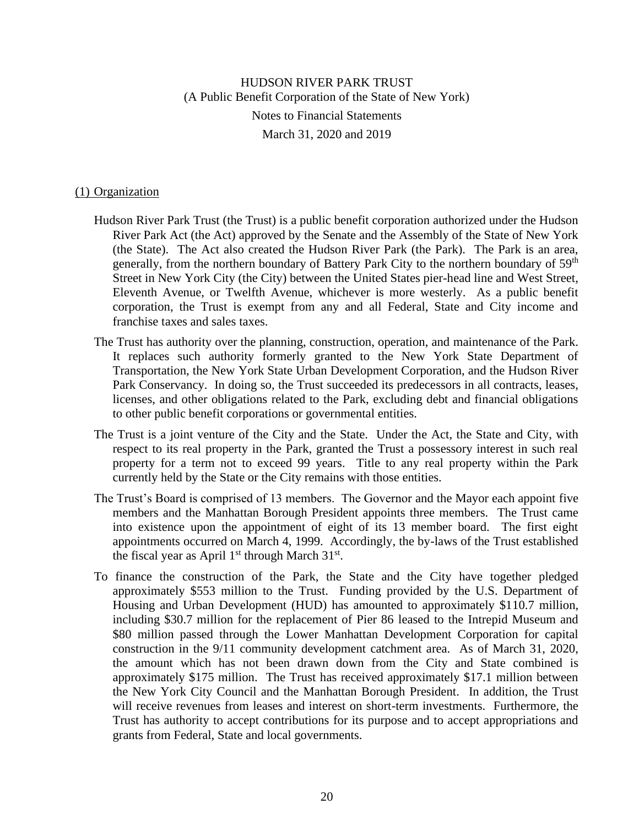#### (1) Organization

- Hudson River Park Trust (the Trust) is a public benefit corporation authorized under the Hudson River Park Act (the Act) approved by the Senate and the Assembly of the State of New York (the State). The Act also created the Hudson River Park (the Park). The Park is an area, generally, from the northern boundary of Battery Park City to the northern boundary of 59<sup>th</sup> Street in New York City (the City) between the United States pier-head line and West Street, Eleventh Avenue, or Twelfth Avenue, whichever is more westerly. As a public benefit corporation, the Trust is exempt from any and all Federal, State and City income and franchise taxes and sales taxes.
- The Trust has authority over the planning, construction, operation, and maintenance of the Park. It replaces such authority formerly granted to the New York State Department of Transportation, the New York State Urban Development Corporation, and the Hudson River Park Conservancy. In doing so, the Trust succeeded its predecessors in all contracts, leases, licenses, and other obligations related to the Park, excluding debt and financial obligations to other public benefit corporations or governmental entities.
- The Trust is a joint venture of the City and the State. Under the Act, the State and City, with respect to its real property in the Park, granted the Trust a possessory interest in such real property for a term not to exceed 99 years. Title to any real property within the Park currently held by the State or the City remains with those entities.
- The Trust's Board is comprised of 13 members. The Governor and the Mayor each appoint five members and the Manhattan Borough President appoints three members. The Trust came into existence upon the appointment of eight of its 13 member board. The first eight appointments occurred on March 4, 1999. Accordingly, the by-laws of the Trust established the fiscal year as April  $1<sup>st</sup>$  through March  $31<sup>st</sup>$ .
- To finance the construction of the Park, the State and the City have together pledged approximately \$553 million to the Trust. Funding provided by the U.S. Department of Housing and Urban Development (HUD) has amounted to approximately \$110.7 million, including \$30.7 million for the replacement of Pier 86 leased to the Intrepid Museum and \$80 million passed through the Lower Manhattan Development Corporation for capital construction in the 9/11 community development catchment area. As of March 31, 2020, the amount which has not been drawn down from the City and State combined is approximately \$175 million. The Trust has received approximately \$17.1 million between the New York City Council and the Manhattan Borough President. In addition, the Trust will receive revenues from leases and interest on short-term investments. Furthermore, the Trust has authority to accept contributions for its purpose and to accept appropriations and grants from Federal, State and local governments.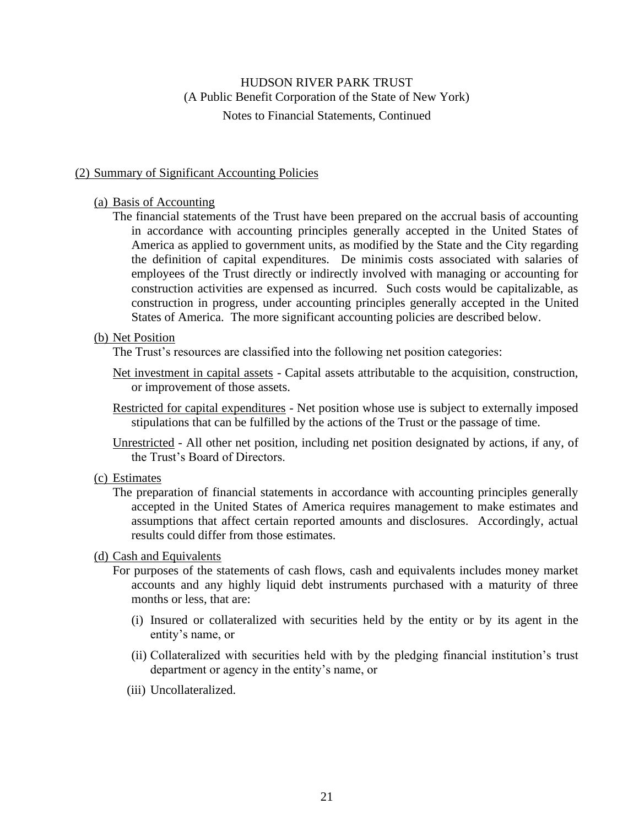#### (2) Summary of Significant Accounting Policies

#### (a) Basis of Accounting

The financial statements of the Trust have been prepared on the accrual basis of accounting in accordance with accounting principles generally accepted in the United States of America as applied to government units, as modified by the State and the City regarding the definition of capital expenditures. De minimis costs associated with salaries of employees of the Trust directly or indirectly involved with managing or accounting for construction activities are expensed as incurred. Such costs would be capitalizable, as construction in progress, under accounting principles generally accepted in the United States of America. The more significant accounting policies are described below.

#### (b) Net Position

The Trust's resources are classified into the following net position categories:

- Net investment in capital assets Capital assets attributable to the acquisition, construction, or improvement of those assets.
- Restricted for capital expenditures Net position whose use is subject to externally imposed stipulations that can be fulfilled by the actions of the Trust or the passage of time.
- Unrestricted All other net position, including net position designated by actions, if any, of the Trust's Board of Directors.
- (c) Estimates
	- The preparation of financial statements in accordance with accounting principles generally accepted in the United States of America requires management to make estimates and assumptions that affect certain reported amounts and disclosures. Accordingly, actual results could differ from those estimates.

#### (d) Cash and Equivalents

- For purposes of the statements of cash flows, cash and equivalents includes money market accounts and any highly liquid debt instruments purchased with a maturity of three months or less, that are:
	- (i) Insured or collateralized with securities held by the entity or by its agent in the entity's name, or
	- (ii) Collateralized with securities held with by the pledging financial institution's trust department or agency in the entity's name, or
	- (iii) Uncollateralized.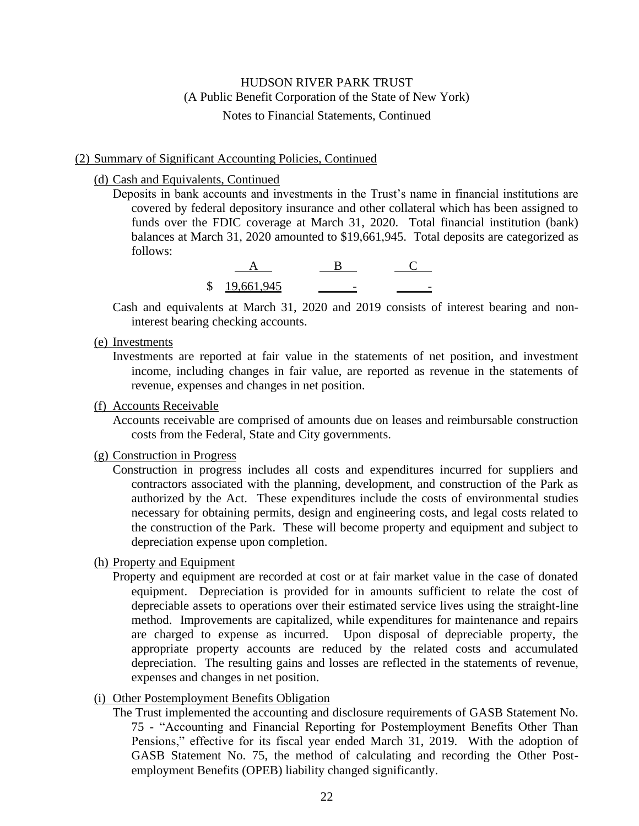#### (2) Summary of Significant Accounting Policies, Continued

#### (d) Cash and Equivalents, Continued

Deposits in bank accounts and investments in the Trust's name in financial institutions are covered by federal depository insurance and other collateral which has been assigned to funds over the FDIC coverage at March 31, 2020. Total financial institution (bank) balances at March 31, 2020 amounted to \$19,661,945. Total deposits are categorized as follows:

| \$19,661,945 |  |
|--------------|--|

Cash and equivalents at March 31, 2020 and 2019 consists of interest bearing and noninterest bearing checking accounts.

#### (e) Investments

Investments are reported at fair value in the statements of net position, and investment income, including changes in fair value, are reported as revenue in the statements of revenue, expenses and changes in net position.

#### (f) Accounts Receivable

Accounts receivable are comprised of amounts due on leases and reimbursable construction costs from the Federal, State and City governments.

#### (g) Construction in Progress

Construction in progress includes all costs and expenditures incurred for suppliers and contractors associated with the planning, development, and construction of the Park as authorized by the Act. These expenditures include the costs of environmental studies necessary for obtaining permits, design and engineering costs, and legal costs related to the construction of the Park. These will become property and equipment and subject to depreciation expense upon completion.

#### (h) Property and Equipment

Property and equipment are recorded at cost or at fair market value in the case of donated equipment. Depreciation is provided for in amounts sufficient to relate the cost of depreciable assets to operations over their estimated service lives using the straight-line method. Improvements are capitalized, while expenditures for maintenance and repairs are charged to expense as incurred. Upon disposal of depreciable property, the appropriate property accounts are reduced by the related costs and accumulated depreciation. The resulting gains and losses are reflected in the statements of revenue, expenses and changes in net position.

#### (i) Other Postemployment Benefits Obligation

The Trust implemented the accounting and disclosure requirements of GASB Statement No. 75 - "Accounting and Financial Reporting for Postemployment Benefits Other Than Pensions," effective for its fiscal year ended March 31, 2019. With the adoption of GASB Statement No. 75, the method of calculating and recording the Other Postemployment Benefits (OPEB) liability changed significantly.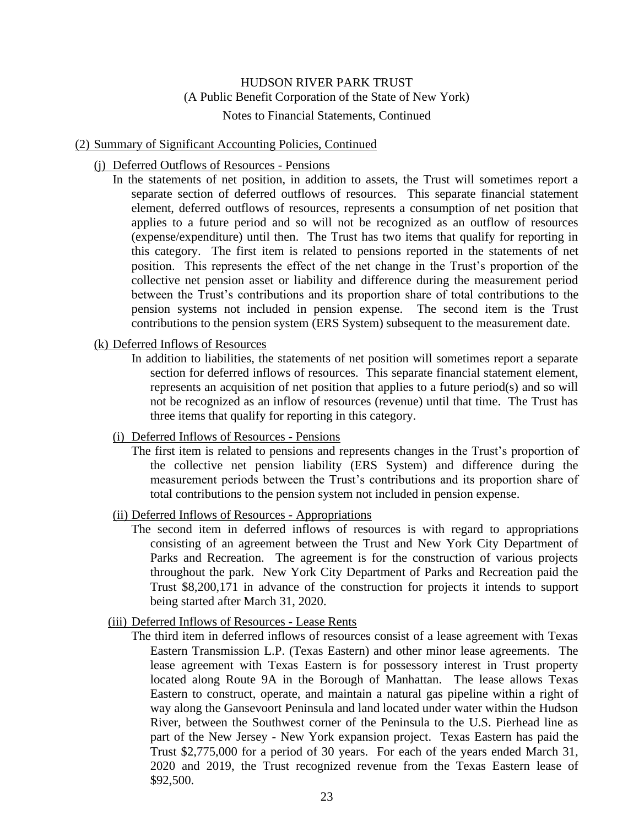### HUDSON RIVER PARK TRUST (A Public Benefit Corporation of the State of New York)

#### Notes to Financial Statements, Continued

#### (2) Summary of Significant Accounting Policies, Continued

#### (j) Deferred Outflows of Resources - Pensions

In the statements of net position, in addition to assets, the Trust will sometimes report a separate section of deferred outflows of resources. This separate financial statement element, deferred outflows of resources, represents a consumption of net position that applies to a future period and so will not be recognized as an outflow of resources (expense/expenditure) until then. The Trust has two items that qualify for reporting in this category. The first item is related to pensions reported in the statements of net position. This represents the effect of the net change in the Trust's proportion of the collective net pension asset or liability and difference during the measurement period between the Trust's contributions and its proportion share of total contributions to the pension systems not included in pension expense. The second item is the Trust contributions to the pension system (ERS System) subsequent to the measurement date.

#### (k) Deferred Inflows of Resources

- In addition to liabilities, the statements of net position will sometimes report a separate section for deferred inflows of resources. This separate financial statement element, represents an acquisition of net position that applies to a future period(s) and so will not be recognized as an inflow of resources (revenue) until that time. The Trust has three items that qualify for reporting in this category.
- (i) Deferred Inflows of Resources Pensions
	- The first item is related to pensions and represents changes in the Trust's proportion of the collective net pension liability (ERS System) and difference during the measurement periods between the Trust's contributions and its proportion share of total contributions to the pension system not included in pension expense.
- (ii) Deferred Inflows of Resources Appropriations
	- The second item in deferred inflows of resources is with regard to appropriations consisting of an agreement between the Trust and New York City Department of Parks and Recreation. The agreement is for the construction of various projects throughout the park. New York City Department of Parks and Recreation paid the Trust \$8,200,171 in advance of the construction for projects it intends to support being started after March 31, 2020.
- (iii) Deferred Inflows of Resources Lease Rents
	- The third item in deferred inflows of resources consist of a lease agreement with Texas Eastern Transmission L.P. (Texas Eastern) and other minor lease agreements. The lease agreement with Texas Eastern is for possessory interest in Trust property located along Route 9A in the Borough of Manhattan. The lease allows Texas Eastern to construct, operate, and maintain a natural gas pipeline within a right of way along the Gansevoort Peninsula and land located under water within the Hudson River, between the Southwest corner of the Peninsula to the U.S. Pierhead line as part of the New Jersey - New York expansion project. Texas Eastern has paid the Trust \$2,775,000 for a period of 30 years. For each of the years ended March 31, 2020 and 2019, the Trust recognized revenue from the Texas Eastern lease of \$92,500.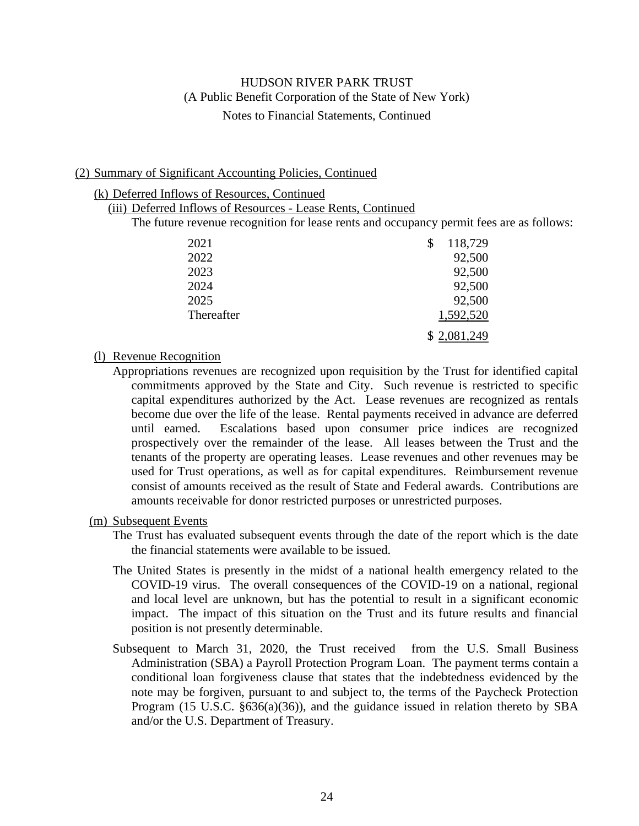#### (2) Summary of Significant Accounting Policies, Continued

#### (k) Deferred Inflows of Resources, Continued

(iii) Deferred Inflows of Resources - Lease Rents, Continued

The future revenue recognition for lease rents and occupancy permit fees are as follows:

| 2021       | 118,729     |
|------------|-------------|
| 2022       | 92,500      |
| 2023       | 92,500      |
| 2024       | 92,500      |
| 2025       | 92,500      |
| Thereafter | 1,592,520   |
|            | \$2,081,249 |

#### (l) Revenue Recognition

Appropriations revenues are recognized upon requisition by the Trust for identified capital commitments approved by the State and City. Such revenue is restricted to specific capital expenditures authorized by the Act. Lease revenues are recognized as rentals become due over the life of the lease. Rental payments received in advance are deferred until earned. Escalations based upon consumer price indices are recognized prospectively over the remainder of the lease. All leases between the Trust and the tenants of the property are operating leases. Lease revenues and other revenues may be used for Trust operations, as well as for capital expenditures. Reimbursement revenue consist of amounts received as the result of State and Federal awards. Contributions are amounts receivable for donor restricted purposes or unrestricted purposes.

#### (m) Subsequent Events

- The Trust has evaluated subsequent events through the date of the report which is the date the financial statements were available to be issued.
- The United States is presently in the midst of a national health emergency related to the COVID-19 virus. The overall consequences of the COVID-19 on a national, regional and local level are unknown, but has the potential to result in a significant economic impact. The impact of this situation on the Trust and its future results and financial position is not presently determinable.
- Subsequent to March 31, 2020, the Trust received from the U.S. Small Business Administration (SBA) a Payroll Protection Program Loan. The payment terms contain a conditional loan forgiveness clause that states that the indebtedness evidenced by the note may be forgiven, pursuant to and subject to, the terms of the Paycheck Protection Program (15 U.S.C. §636(a)(36)), and the guidance issued in relation thereto by SBA and/or the U.S. Department of Treasury.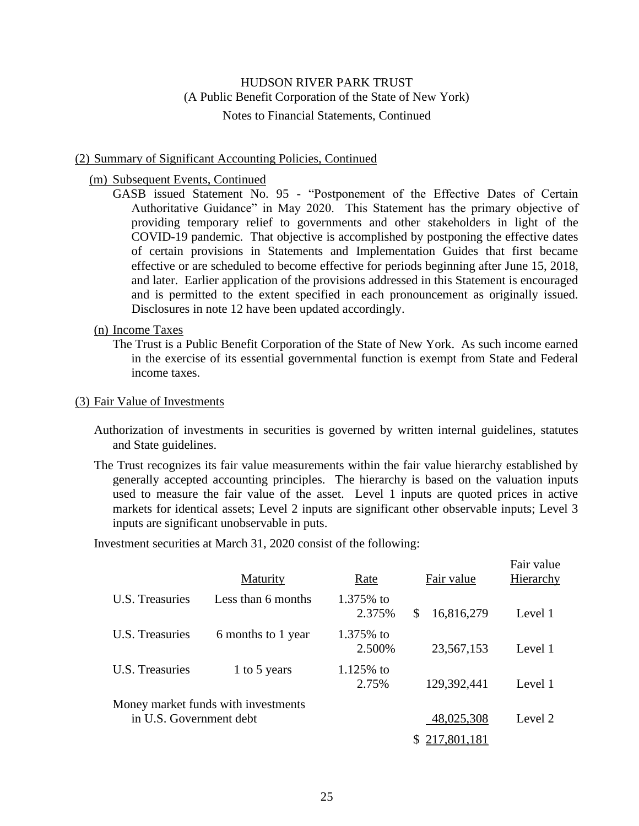### HUDSON RIVER PARK TRUST (A Public Benefit Corporation of the State of New York)

Notes to Financial Statements, Continued

#### (2) Summary of Significant Accounting Policies, Continued

#### (m) Subsequent Events, Continued

GASB issued Statement No. 95 - "Postponement of the Effective Dates of Certain Authoritative Guidance" in May 2020. This Statement has the primary objective of providing temporary relief to governments and other stakeholders in light of the COVID-19 pandemic. That objective is accomplished by postponing the effective dates of certain provisions in Statements and Implementation Guides that first became effective or are scheduled to become effective for periods beginning after June 15, 2018, and later. Earlier application of the provisions addressed in this Statement is encouraged and is permitted to the extent specified in each pronouncement as originally issued. Disclosures in note 12 have been updated accordingly.

#### (n) Income Taxes

The Trust is a Public Benefit Corporation of the State of New York. As such income earned in the exercise of its essential governmental function is exempt from State and Federal income taxes.

#### (3) Fair Value of Investments

- Authorization of investments in securities is governed by written internal guidelines, statutes and State guidelines.
- The Trust recognizes its fair value measurements within the fair value hierarchy established by generally accepted accounting principles. The hierarchy is based on the valuation inputs used to measure the fair value of the asset. Level 1 inputs are quoted prices in active markets for identical assets; Level 2 inputs are significant other observable inputs; Level 3 inputs are significant unobservable in puts.

 $F_a$ in value

Investment securities at March 31, 2020 consist of the following:

|                         | Maturity                            | Rate                 | Fair value       | raif value<br>Hierarchy |
|-------------------------|-------------------------------------|----------------------|------------------|-------------------------|
| U.S. Treasuries         | Less than 6 months                  | 1.375% to<br>2.375%  | 16,816,279<br>\$ | Level 1                 |
| U.S. Treasuries         | 6 months to 1 year                  | 1.375\% to<br>2.500% | 23,567,153       | Level 1                 |
| U.S. Treasuries         | 1 to 5 years                        | 1.125\% to<br>2.75%  | 129,392,441      | Level 1                 |
| in U.S. Government debt | Money market funds with investments |                      | 48,025,308       | Level 2                 |
|                         |                                     |                      | 217,801,181      |                         |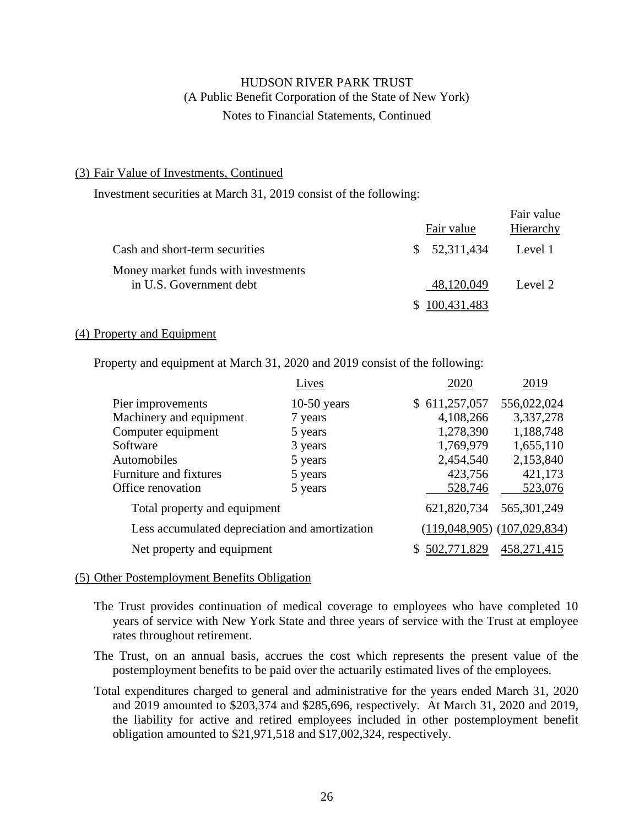#### (3) Fair Value of Investments, Continued

Investment securities at March 31, 2019 consist of the following:

|                                                                | Fair value   | Fair value<br>Hierarchy |
|----------------------------------------------------------------|--------------|-------------------------|
| Cash and short-term securities                                 | \$52,311,434 | Level 1                 |
| Money market funds with investments<br>in U.S. Government debt | 48,120,049   | Level 2                 |
|                                                                | 100,431,483  |                         |

#### (4) Property and Equipment

Property and equipment at March 31, 2020 and 2019 consist of the following:

| Lives         |                                                                                | 2019                                                                                                                                                             |
|---------------|--------------------------------------------------------------------------------|------------------------------------------------------------------------------------------------------------------------------------------------------------------|
| $10-50$ years |                                                                                | 556,022,024                                                                                                                                                      |
| 7 years       |                                                                                | 3,337,278                                                                                                                                                        |
| 5 years       |                                                                                | 1,188,748                                                                                                                                                        |
| 3 years       |                                                                                | 1,655,110                                                                                                                                                        |
| 5 years       |                                                                                | 2,153,840                                                                                                                                                        |
| 5 years       |                                                                                | 421,173                                                                                                                                                          |
| 5 years       |                                                                                | 523,076                                                                                                                                                          |
|               |                                                                                | 565, 301, 249                                                                                                                                                    |
|               |                                                                                |                                                                                                                                                                  |
|               |                                                                                | 458,271,415                                                                                                                                                      |
|               | Total property and equipment<br>Less accumulated depreciation and amortization | 2020<br>\$611,257,057<br>4,108,266<br>1,278,390<br>1,769,979<br>2,454,540<br>423,756<br>528,746<br>621,820,734<br>$(119,048,905)$ $(107,029,834)$<br>502,771,829 |

#### (5) Other Postemployment Benefits Obligation

- The Trust provides continuation of medical coverage to employees who have completed 10 years of service with New York State and three years of service with the Trust at employee rates throughout retirement.
- The Trust, on an annual basis, accrues the cost which represents the present value of the postemployment benefits to be paid over the actuarily estimated lives of the employees.
- Total expenditures charged to general and administrative for the years ended March 31, 2020 and 2019 amounted to \$203,374 and \$285,696, respectively. At March 31, 2020 and 2019, the liability for active and retired employees included in other postemployment benefit obligation amounted to \$21,971,518 and \$17,002,324, respectively.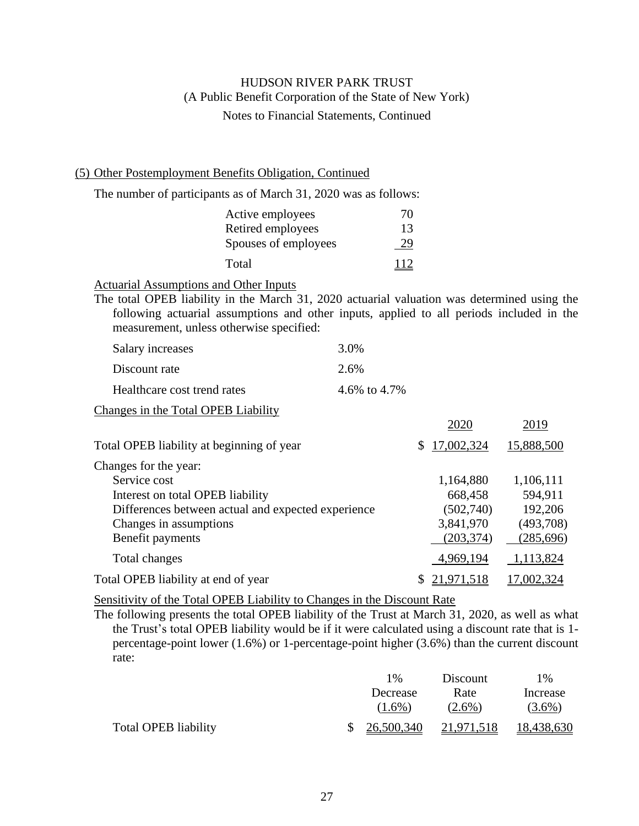#### (5) Other Postemployment Benefits Obligation, Continued

The number of participants as of March 31, 2020 was as follows:

| Active employees     | 70  |
|----------------------|-----|
| Retired employees    | 13  |
| Spouses of employees | 29  |
| Total                | 112 |

Actuarial Assumptions and Other Inputs

The total OPEB liability in the March 31, 2020 actuarial valuation was determined using the following actuarial assumptions and other inputs, applied to all periods included in the measurement, unless otherwise specified:

| Salary increases            | 3.0%         |
|-----------------------------|--------------|
| Discount rate               | 2.6%         |
| Healthcare cost trend rates | 4.6% to 4.7% |

Changes in the Total OPEB Liability

|                                                    | 2020             | 2019       |
|----------------------------------------------------|------------------|------------|
| Total OPEB liability at beginning of year          | 17,002,324<br>\$ | 15,888,500 |
| Changes for the year:                              |                  |            |
| Service cost                                       | 1,164,880        | 1,106,111  |
| Interest on total OPEB liability                   | 668,458          | 594,911    |
| Differences between actual and expected experience | (502,740)        | 192,206    |
| Changes in assumptions                             | 3,841,970        | (493,708)  |
| Benefit payments                                   | (203, 374)       | (285, 696) |
| Total changes                                      | 4,969,194        | 1,113,824  |
| Total OPEB liability at end of year                | 21,971,518       | 7,002,324  |

Sensitivity of the Total OPEB Liability to Changes in the Discount Rate

The following presents the total OPEB liability of the Trust at March 31, 2020, as well as what the Trust's total OPEB liability would be if it were calculated using a discount rate that is 1 percentage-point lower (1.6%) or 1-percentage-point higher (3.6%) than the current discount rate:

|                             | $1\%$        | Discount   | 1%         |
|-----------------------------|--------------|------------|------------|
|                             | Decrease     | Rate       | Increase   |
|                             | $(1.6\%)$    | $(2.6\%)$  | $(3.6\%)$  |
| <b>Total OPEB liability</b> | \$26,500,340 | 21,971,518 | 18,438,630 |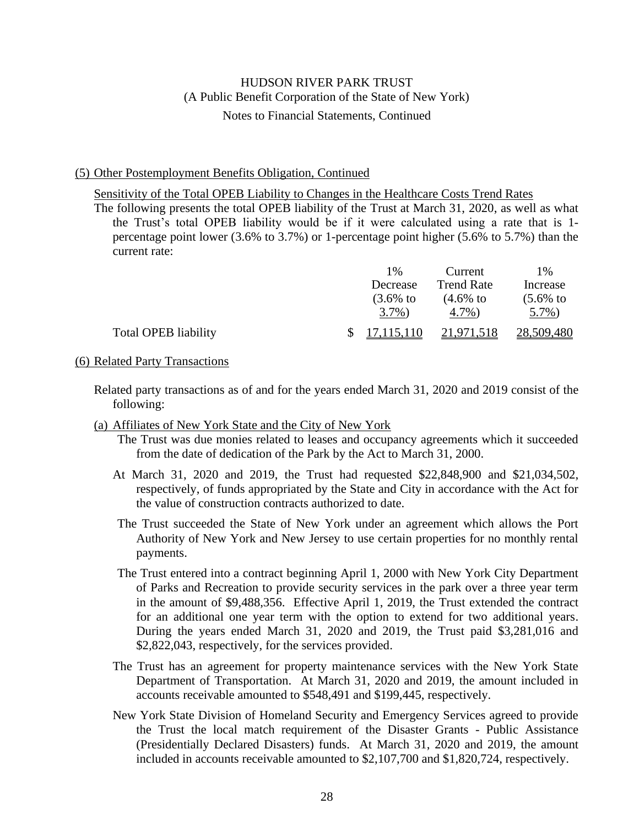#### (5) Other Postemployment Benefits Obligation, Continued

Sensitivity of the Total OPEB Liability to Changes in the Healthcare Costs Trend Rates The following presents the total OPEB liability of the Trust at March 31, 2020, as well as what the Trust's total OPEB liability would be if it were calculated using a rate that is 1 percentage point lower (3.6% to 3.7%) or 1-percentage point higher (5.6% to 5.7%) than the current rate:

|                             | $1\%$                | Current              | 1%                  |
|-----------------------------|----------------------|----------------------|---------------------|
|                             | Decrease             | <b>Trend Rate</b>    | Increase            |
|                             | $(3.6\% \text{ to }$ | $(4.6\% \text{ to }$ | $(5.6% \text{ to }$ |
|                             | $3.7\%$ )            | 4.7%)                | $5.7\%$ )           |
| <b>Total OPEB liability</b> | \$17,115,110         | 21,971,518           | 28,509,480          |

#### (6) Related Party Transactions

- Related party transactions as of and for the years ended March 31, 2020 and 2019 consist of the following:
- (a) Affiliates of New York State and the City of New York
	- The Trust was due monies related to leases and occupancy agreements which it succeeded from the date of dedication of the Park by the Act to March 31, 2000.
	- At March 31, 2020 and 2019, the Trust had requested \$22,848,900 and \$21,034,502, respectively, of funds appropriated by the State and City in accordance with the Act for the value of construction contracts authorized to date.
	- The Trust succeeded the State of New York under an agreement which allows the Port Authority of New York and New Jersey to use certain properties for no monthly rental payments.
	- The Trust entered into a contract beginning April 1, 2000 with New York City Department of Parks and Recreation to provide security services in the park over a three year term in the amount of \$9,488,356. Effective April 1, 2019, the Trust extended the contract for an additional one year term with the option to extend for two additional years. During the years ended March 31, 2020 and 2019, the Trust paid \$3,281,016 and \$2,822,043, respectively, for the services provided.
	- The Trust has an agreement for property maintenance services with the New York State Department of Transportation. At March 31, 2020 and 2019, the amount included in accounts receivable amounted to \$548,491 and \$199,445, respectively.
	- New York State Division of Homeland Security and Emergency Services agreed to provide the Trust the local match requirement of the Disaster Grants - Public Assistance (Presidentially Declared Disasters) funds. At March 31, 2020 and 2019, the amount included in accounts receivable amounted to \$2,107,700 and \$1,820,724, respectively.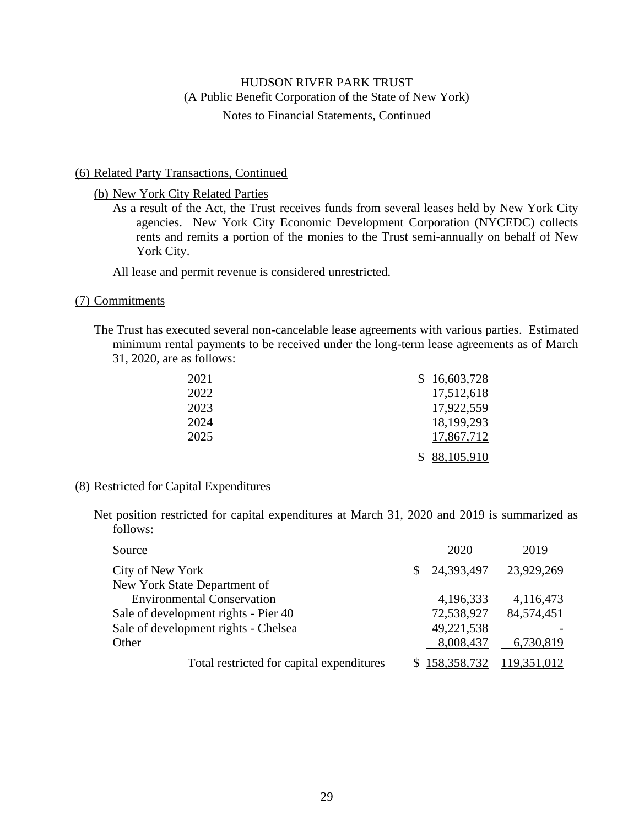#### (6) Related Party Transactions, Continued

#### (b) New York City Related Parties

As a result of the Act, the Trust receives funds from several leases held by New York City agencies. New York City Economic Development Corporation (NYCEDC) collects rents and remits a portion of the monies to the Trust semi-annually on behalf of New York City.

All lease and permit revenue is considered unrestricted.

#### (7) Commitments

The Trust has executed several non-cancelable lease agreements with various parties. Estimated minimum rental payments to be received under the long-term lease agreements as of March 31, 2020, are as follows:

| 2021 | \$16,603,728 |
|------|--------------|
| 2022 | 17,512,618   |
| 2023 | 17,922,559   |
| 2024 | 18,199,293   |
| 2025 | 17,867,712   |
|      | \$88,105,910 |

#### (8) Restricted for Capital Expenditures

Net position restricted for capital expenditures at March 31, 2020 and 2019 is summarized as follows:

| Source                                    | 2020          | 2019        |
|-------------------------------------------|---------------|-------------|
| City of New York                          | \$24,393,497  | 23,929,269  |
| New York State Department of              |               |             |
| <b>Environmental Conservation</b>         | 4,196,333     | 4,116,473   |
| Sale of development rights - Pier 40      | 72,538,927    | 84,574,451  |
| Sale of development rights - Chelsea      | 49,221,538    |             |
| Other                                     | 8,008,437     | 6,730,819   |
| Total restricted for capital expenditures | \$158,358,732 | 119,351,012 |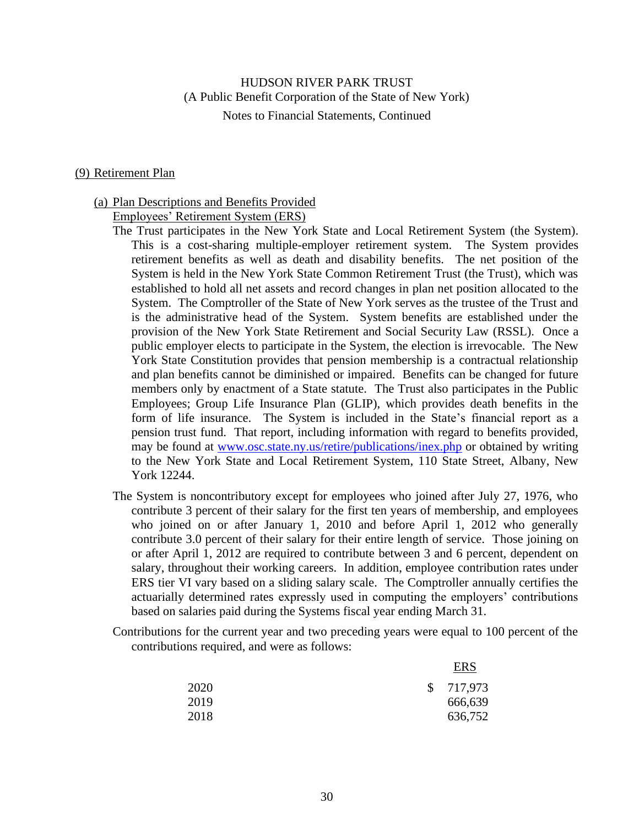#### (9) Retirement Plan

#### (a) Plan Descriptions and Benefits Provided

#### Employees' Retirement System (ERS)

The Trust participates in the New York State and Local Retirement System (the System). This is a cost-sharing multiple-employer retirement system. The System provides retirement benefits as well as death and disability benefits. The net position of the System is held in the New York State Common Retirement Trust (the Trust), which was established to hold all net assets and record changes in plan net position allocated to the System. The Comptroller of the State of New York serves as the trustee of the Trust and is the administrative head of the System. System benefits are established under the provision of the New York State Retirement and Social Security Law (RSSL). Once a public employer elects to participate in the System, the election is irrevocable. The New York State Constitution provides that pension membership is a contractual relationship and plan benefits cannot be diminished or impaired. Benefits can be changed for future members only by enactment of a State statute. The Trust also participates in the Public Employees; Group Life Insurance Plan (GLIP), which provides death benefits in the form of life insurance. The System is included in the State's financial report as a pension trust fund. That report, including information with regard to benefits provided, may be found at [www.osc.state.ny.us/retire/publications/inex.php](http://www.osc.state.ny.us/retire/publications/inex.php) or obtained by writing to the New York State and Local Retirement System, 110 State Street, Albany, New York 12244.

- The System is noncontributory except for employees who joined after July 27, 1976, who contribute 3 percent of their salary for the first ten years of membership, and employees who joined on or after January 1, 2010 and before April 1, 2012 who generally contribute 3.0 percent of their salary for their entire length of service. Those joining on or after April 1, 2012 are required to contribute between 3 and 6 percent, dependent on salary, throughout their working careers. In addition, employee contribution rates under ERS tier VI vary based on a sliding salary scale. The Comptroller annually certifies the actuarially determined rates expressly used in computing the employers' contributions based on salaries paid during the Systems fiscal year ending March 31.
- Contributions for the current year and two preceding years were equal to 100 percent of the contributions required, and were as follows:

|      | <b>ERS</b> |
|------|------------|
| 2020 | \$717,973  |
| 2019 | 666,639    |
| 2018 | 636,752    |
|      |            |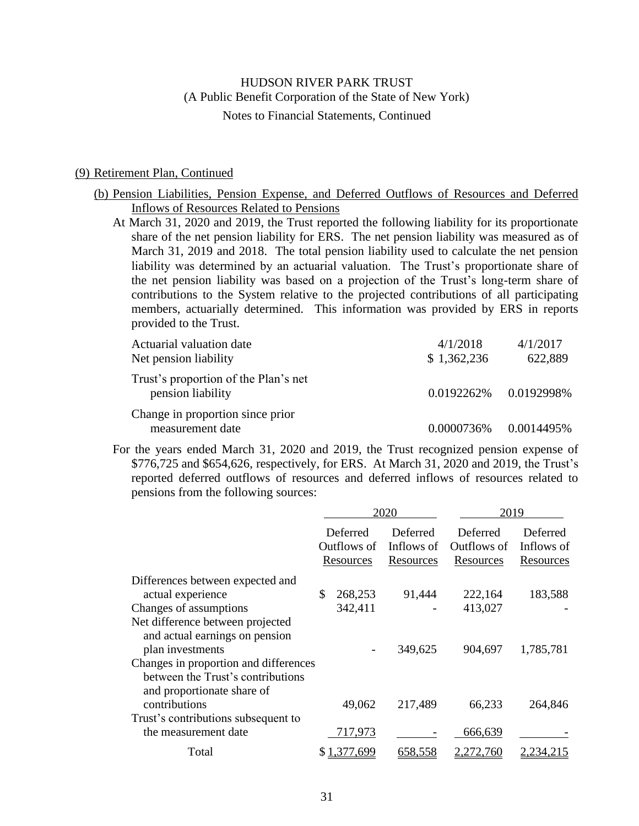## HUDSON RIVER PARK TRUST (A Public Benefit Corporation of the State of New York)

#### Notes to Financial Statements, Continued

#### (9) Retirement Plan, Continued

- (b) Pension Liabilities, Pension Expense, and Deferred Outflows of Resources and Deferred Inflows of Resources Related to Pensions
	- At March 31, 2020 and 2019, the Trust reported the following liability for its proportionate share of the net pension liability for ERS. The net pension liability was measured as of March 31, 2019 and 2018. The total pension liability used to calculate the net pension liability was determined by an actuarial valuation. The Trust's proportionate share of the net pension liability was based on a projection of the Trust's long-term share of contributions to the System relative to the projected contributions of all participating members, actuarially determined. This information was provided by ERS in reports provided to the Trust.

| Actuarial valuation date<br>Net pension liability         | 4/1/2018<br>\$1,362,236 | 4/1/2017<br>622,889 |
|-----------------------------------------------------------|-------------------------|---------------------|
| Trust's proportion of the Plan's net<br>pension liability | 0.0192262% 0.0192998%   |                     |
| Change in proportion since prior<br>measurement date      | 0.0000736% 0.0014495%   |                     |

For the years ended March 31, 2020 and 2019, the Trust recognized pension expense of \$776,725 and \$654,626, respectively, for ERS. At March 31, 2020 and 2019, the Trust's reported deferred outflows of resources and deferred inflows of resources related to pensions from the following sources:

|                                                                                                                                 |                                      | 2020                                | 2019                                 |                                     |
|---------------------------------------------------------------------------------------------------------------------------------|--------------------------------------|-------------------------------------|--------------------------------------|-------------------------------------|
|                                                                                                                                 | Deferred<br>Outflows of<br>Resources | Deferred<br>Inflows of<br>Resources | Deferred<br>Outflows of<br>Resources | Deferred<br>Inflows of<br>Resources |
| Differences between expected and<br>actual experience                                                                           | \$<br>268,253                        | 91,444                              | 222,164                              | 183,588                             |
| Changes of assumptions                                                                                                          | 342,411                              |                                     | 413,027                              |                                     |
| Net difference between projected<br>and actual earnings on pension<br>plan investments<br>Changes in proportion and differences |                                      | 349,625                             | 904,697                              | 1,785,781                           |
| between the Trust's contributions<br>and proportionate share of<br>contributions                                                | 49,062                               | 217,489                             | 66,233                               | 264,846                             |
| Trust's contributions subsequent to<br>the measurement date                                                                     | 717,973                              |                                     | 666,639                              |                                     |
| Total                                                                                                                           |                                      |                                     | 60                                   |                                     |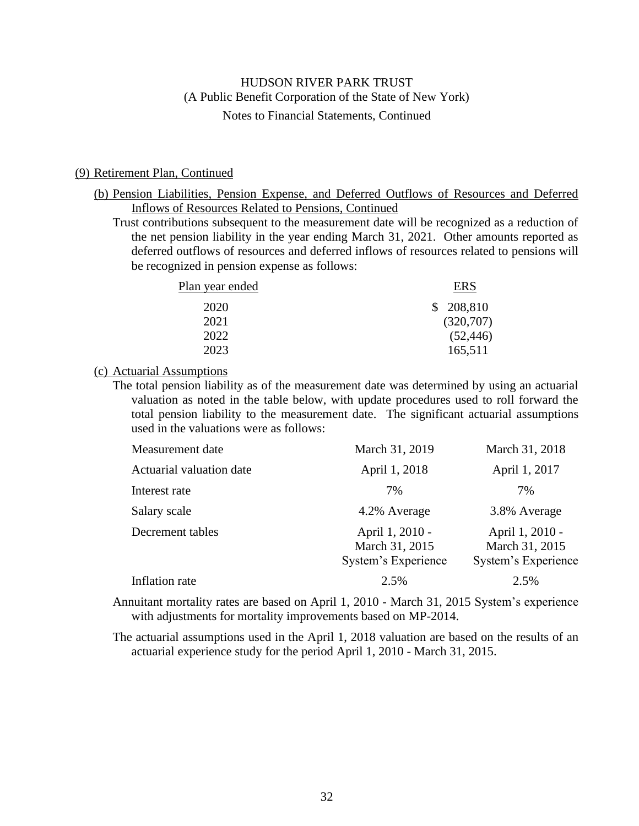#### (9) Retirement Plan, Continued

- (b) Pension Liabilities, Pension Expense, and Deferred Outflows of Resources and Deferred Inflows of Resources Related to Pensions, Continued
	- Trust contributions subsequent to the measurement date will be recognized as a reduction of the net pension liability in the year ending March 31, 2021. Other amounts reported as deferred outflows of resources and deferred inflows of resources related to pensions will be recognized in pension expense as follows:

| Plan year ended | <b>ERS</b> |
|-----------------|------------|
| 2020            | \$ 208,810 |
| 2021            | (320,707)  |
| 2022            | (52, 446)  |
| 2023            | 165,511    |

#### (c) Actuarial Assumptions

The total pension liability as of the measurement date was determined by using an actuarial valuation as noted in the table below, with update procedures used to roll forward the total pension liability to the measurement date. The significant actuarial assumptions used in the valuations were as follows:

| Measurement date         | March 31, 2019                                           | March 31, 2018                                           |
|--------------------------|----------------------------------------------------------|----------------------------------------------------------|
| Actuarial valuation date | April 1, 2018                                            | April 1, 2017                                            |
| Interest rate            | 7%                                                       | 7%                                                       |
| Salary scale             | 4.2% Average                                             | 3.8% Average                                             |
| Decrement tables         | April 1, 2010 -<br>March 31, 2015<br>System's Experience | April 1, 2010 -<br>March 31, 2015<br>System's Experience |
| Inflation rate           | 2.5%                                                     | 2.5%                                                     |

Annuitant mortality rates are based on April 1, 2010 - March 31, 2015 System's experience with adjustments for mortality improvements based on MP-2014.

The actuarial assumptions used in the April 1, 2018 valuation are based on the results of an actuarial experience study for the period April 1, 2010 - March 31, 2015.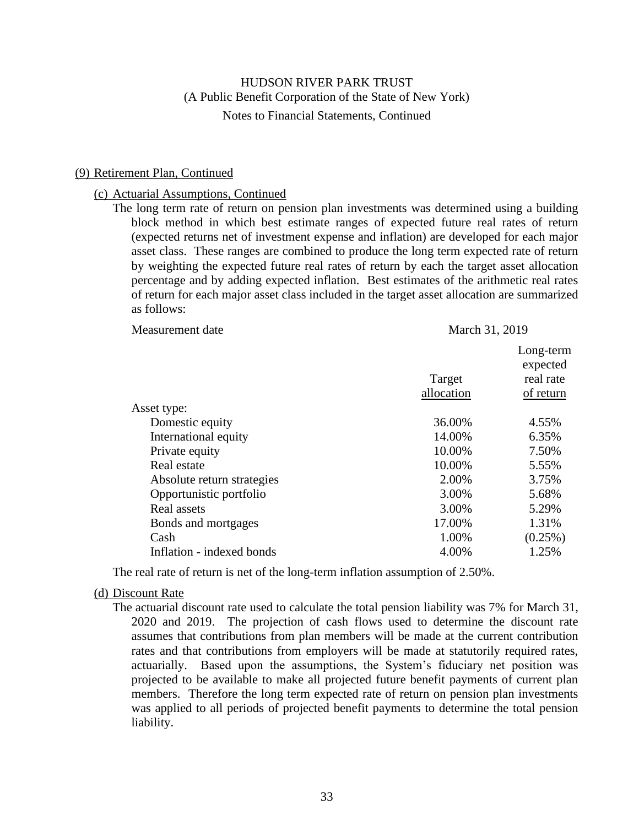#### (9) Retirement Plan, Continued

#### (c) Actuarial Assumptions, Continued

The long term rate of return on pension plan investments was determined using a building block method in which best estimate ranges of expected future real rates of return (expected returns net of investment expense and inflation) are developed for each major asset class. These ranges are combined to produce the long term expected rate of return by weighting the expected future real rates of return by each the target asset allocation percentage and by adding expected inflation. Best estimates of the arithmetic real rates of return for each major asset class included in the target asset allocation are summarized as follows:

| Measurement date           | March 31, 2019       |                                                 |
|----------------------------|----------------------|-------------------------------------------------|
|                            | Target<br>allocation | Long-term<br>expected<br>real rate<br>of return |
| Asset type:                |                      |                                                 |
| Domestic equity            | 36.00%               | 4.55%                                           |
| International equity       | 14.00%               | 6.35%                                           |
| Private equity             | 10.00%               | 7.50%                                           |
| Real estate                | 10.00%               | 5.55%                                           |
| Absolute return strategies | 2.00%                | 3.75%                                           |
| Opportunistic portfolio    | 3.00%                | 5.68%                                           |
| Real assets                | 3.00%                | 5.29%                                           |
| Bonds and mortgages        | 17.00%               | 1.31%                                           |
| Cash                       | 1.00%                | $(0.25\%)$                                      |
| Inflation - indexed bonds  | 4.00%                | 1.25%                                           |
|                            |                      |                                                 |

The real rate of return is net of the long-term inflation assumption of 2.50%.

#### (d) Discount Rate

The actuarial discount rate used to calculate the total pension liability was 7% for March 31, 2020 and 2019. The projection of cash flows used to determine the discount rate assumes that contributions from plan members will be made at the current contribution rates and that contributions from employers will be made at statutorily required rates, actuarially. Based upon the assumptions, the System's fiduciary net position was projected to be available to make all projected future benefit payments of current plan members. Therefore the long term expected rate of return on pension plan investments was applied to all periods of projected benefit payments to determine the total pension liability.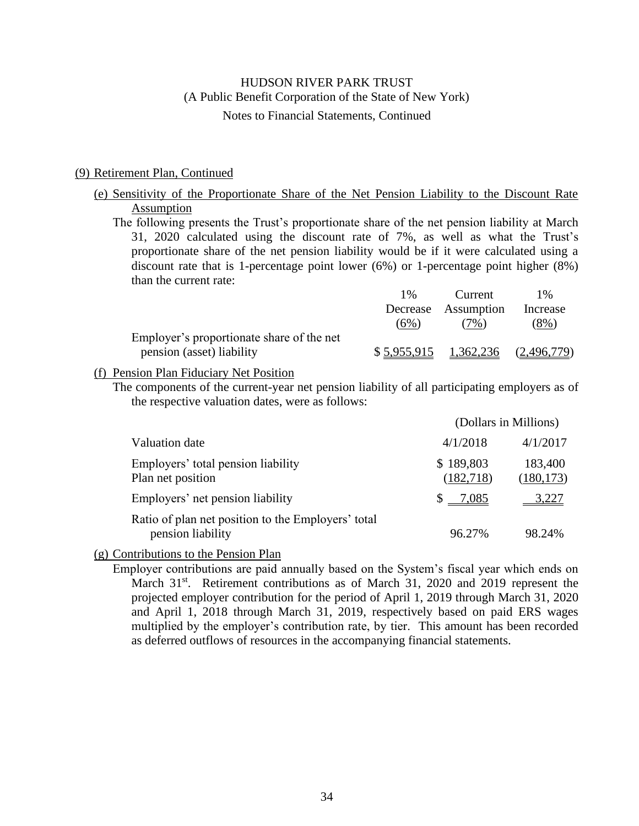#### (9) Retirement Plan, Continued

#### (e) Sensitivity of the Proportionate Share of the Net Pension Liability to the Discount Rate Assumption

The following presents the Trust's proportionate share of the net pension liability at March 31, 2020 calculated using the discount rate of 7%, as well as what the Trust's proportionate share of the net pension liability would be if it were calculated using a discount rate that is 1-percentage point lower (6%) or 1-percentage point higher (8%) than the current rate:

|                                           | $1\%$ | Current                                | 1%       |
|-------------------------------------------|-------|----------------------------------------|----------|
|                                           |       | Decrease Assumption                    | Increase |
|                                           | (6%)  | (7%)                                   | (8%)     |
| Employer's proportionate share of the net |       |                                        |          |
| pension (asset) liability                 |       | $$5,955,915$ $1,362,236$ $(2,496,779)$ |          |
|                                           |       |                                        |          |

#### (f) Pension Plan Fiduciary Net Position

The components of the current-year net pension liability of all participating employers as of the respective valuation dates, were as follows:

|                                                                         |                         | (Dollars in Millions) |
|-------------------------------------------------------------------------|-------------------------|-----------------------|
| Valuation date                                                          | 4/1/2018                | 4/1/2017              |
| Employers' total pension liability<br>Plan net position                 | \$189,803<br>(182, 718) | 183,400<br>(180, 173) |
| Employers' net pension liability                                        | 7,085                   | 3,227                 |
| Ratio of plan net position to the Employers' total<br>pension liability | 96.27%                  | 98.24%                |

#### (g) Contributions to the Pension Plan

Employer contributions are paid annually based on the System's fiscal year which ends on March 31<sup>st</sup>. Retirement contributions as of March 31, 2020 and 2019 represent the projected employer contribution for the period of April 1, 2019 through March 31, 2020 and April 1, 2018 through March 31, 2019, respectively based on paid ERS wages multiplied by the employer's contribution rate, by tier. This amount has been recorded as deferred outflows of resources in the accompanying financial statements.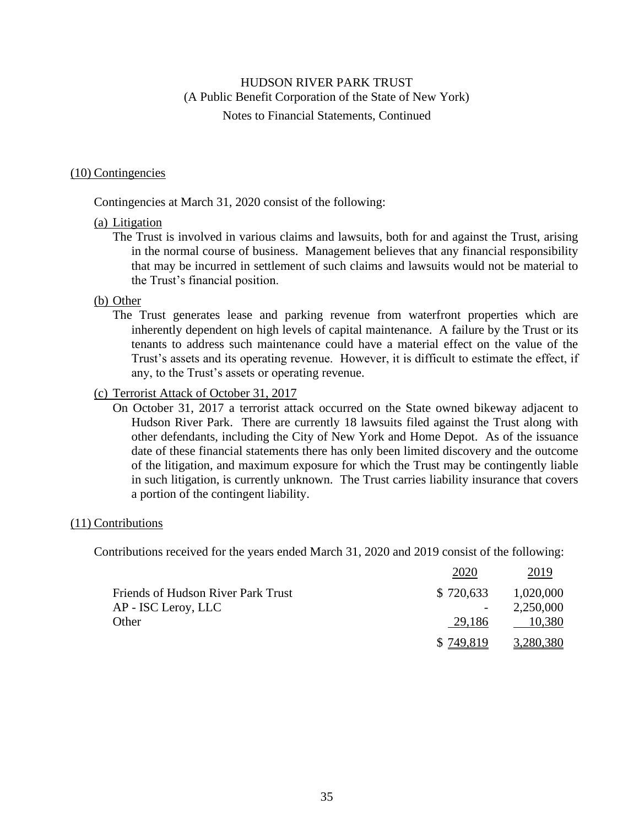#### (10) Contingencies

Contingencies at March 31, 2020 consist of the following:

#### (a) Litigation

The Trust is involved in various claims and lawsuits, both for and against the Trust, arising in the normal course of business. Management believes that any financial responsibility that may be incurred in settlement of such claims and lawsuits would not be material to the Trust's financial position.

#### (b) Other

The Trust generates lease and parking revenue from waterfront properties which are inherently dependent on high levels of capital maintenance. A failure by the Trust or its tenants to address such maintenance could have a material effect on the value of the Trust's assets and its operating revenue. However, it is difficult to estimate the effect, if any, to the Trust's assets or operating revenue.

#### (c) Terrorist Attack of October 31, 2017

On October 31, 2017 a terrorist attack occurred on the State owned bikeway adjacent to Hudson River Park. There are currently 18 lawsuits filed against the Trust along with other defendants, including the City of New York and Home Depot. As of the issuance date of these financial statements there has only been limited discovery and the outcome of the litigation, and maximum exposure for which the Trust may be contingently liable in such litigation, is currently unknown. The Trust carries liability insurance that covers a portion of the contingent liability.

#### (11) Contributions

Contributions received for the years ended March 31, 2020 and 2019 consist of the following:

|                                    | 2020      | 2019      |
|------------------------------------|-----------|-----------|
| Friends of Hudson River Park Trust | \$720,633 | 1,020,000 |
| AP - ISC Leroy, LLC                |           | 2,250,000 |
| Other                              | 29,186    | 10,380    |
|                                    | \$749.819 | 3,280,380 |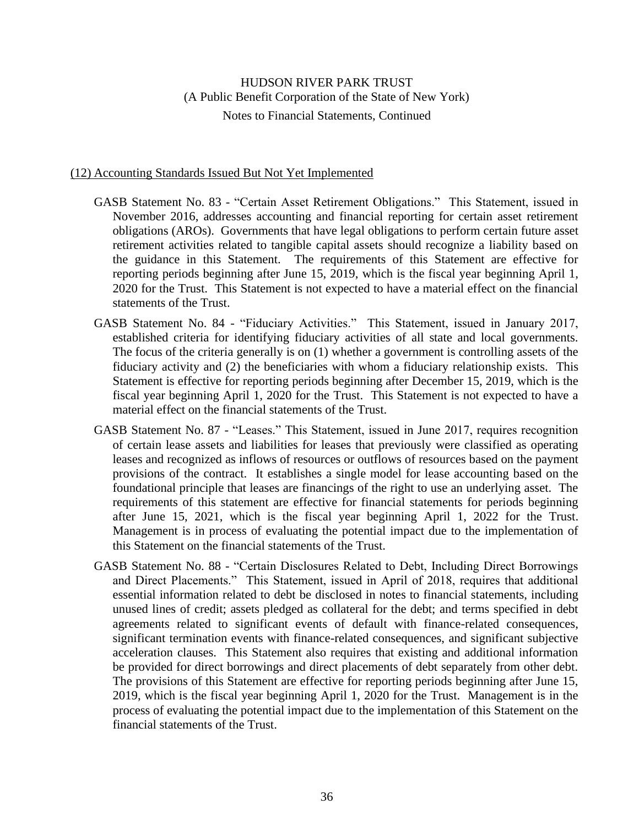#### (12) Accounting Standards Issued But Not Yet Implemented

- GASB Statement No. 83 "Certain Asset Retirement Obligations." This Statement, issued in November 2016, addresses accounting and financial reporting for certain asset retirement obligations (AROs). Governments that have legal obligations to perform certain future asset retirement activities related to tangible capital assets should recognize a liability based on the guidance in this Statement. The requirements of this Statement are effective for reporting periods beginning after June 15, 2019, which is the fiscal year beginning April 1, 2020 for the Trust. This Statement is not expected to have a material effect on the financial statements of the Trust.
- GASB Statement No. 84 "Fiduciary Activities." This Statement, issued in January 2017, established criteria for identifying fiduciary activities of all state and local governments. The focus of the criteria generally is on (1) whether a government is controlling assets of the fiduciary activity and (2) the beneficiaries with whom a fiduciary relationship exists. This Statement is effective for reporting periods beginning after December 15, 2019, which is the fiscal year beginning April 1, 2020 for the Trust. This Statement is not expected to have a material effect on the financial statements of the Trust.
- GASB Statement No. 87 "Leases." This Statement, issued in June 2017, requires recognition of certain lease assets and liabilities for leases that previously were classified as operating leases and recognized as inflows of resources or outflows of resources based on the payment provisions of the contract. It establishes a single model for lease accounting based on the foundational principle that leases are financings of the right to use an underlying asset. The requirements of this statement are effective for financial statements for periods beginning after June 15, 2021, which is the fiscal year beginning April 1, 2022 for the Trust. Management is in process of evaluating the potential impact due to the implementation of this Statement on the financial statements of the Trust.
- GASB Statement No. 88 "Certain Disclosures Related to Debt, Including Direct Borrowings and Direct Placements." This Statement, issued in April of 2018, requires that additional essential information related to debt be disclosed in notes to financial statements, including unused lines of credit; assets pledged as collateral for the debt; and terms specified in debt agreements related to significant events of default with finance-related consequences, significant termination events with finance-related consequences, and significant subjective acceleration clauses. This Statement also requires that existing and additional information be provided for direct borrowings and direct placements of debt separately from other debt. The provisions of this Statement are effective for reporting periods beginning after June 15, 2019, which is the fiscal year beginning April 1, 2020 for the Trust. Management is in the process of evaluating the potential impact due to the implementation of this Statement on the financial statements of the Trust.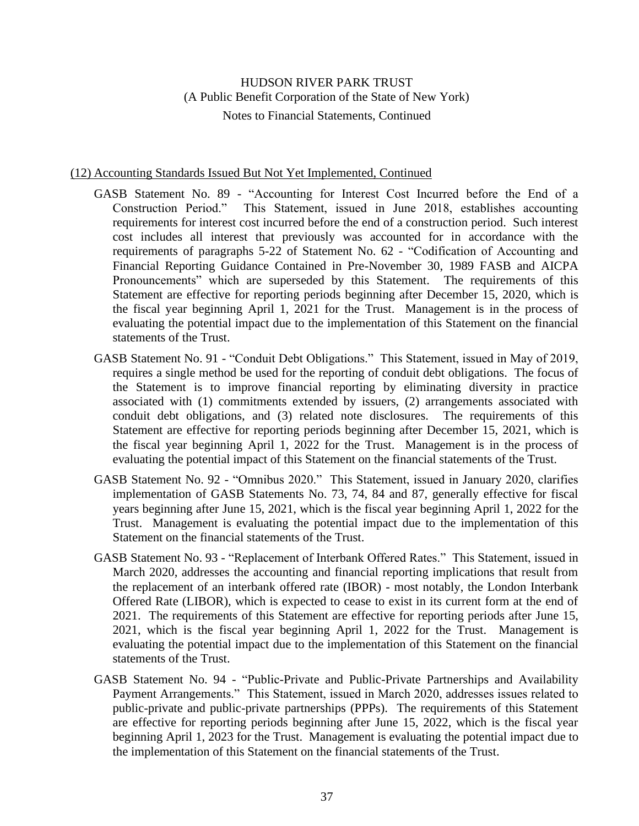#### (12) Accounting Standards Issued But Not Yet Implemented, Continued

- GASB Statement No. 89 "Accounting for Interest Cost Incurred before the End of a Construction Period." This Statement, issued in June 2018, establishes accounting requirements for interest cost incurred before the end of a construction period. Such interest cost includes all interest that previously was accounted for in accordance with the requirements of paragraphs 5-22 of Statement No. 62 - "Codification of Accounting and Financial Reporting Guidance Contained in Pre-November 30, 1989 FASB and AICPA Pronouncements" which are superseded by this Statement. The requirements of this Statement are effective for reporting periods beginning after December 15, 2020, which is the fiscal year beginning April 1, 2021 for the Trust. Management is in the process of evaluating the potential impact due to the implementation of this Statement on the financial statements of the Trust.
- GASB Statement No. 91 "Conduit Debt Obligations." This Statement, issued in May of 2019, requires a single method be used for the reporting of conduit debt obligations. The focus of the Statement is to improve financial reporting by eliminating diversity in practice associated with (1) commitments extended by issuers, (2) arrangements associated with conduit debt obligations, and (3) related note disclosures. The requirements of this Statement are effective for reporting periods beginning after December 15, 2021, which is the fiscal year beginning April 1, 2022 for the Trust. Management is in the process of evaluating the potential impact of this Statement on the financial statements of the Trust.
- GASB Statement No. 92 "Omnibus 2020." This Statement, issued in January 2020, clarifies implementation of GASB Statements No. 73, 74, 84 and 87, generally effective for fiscal years beginning after June 15, 2021, which is the fiscal year beginning April 1, 2022 for the Trust. Management is evaluating the potential impact due to the implementation of this Statement on the financial statements of the Trust.
- GASB Statement No. 93 "Replacement of Interbank Offered Rates." This Statement, issued in March 2020, addresses the accounting and financial reporting implications that result from the replacement of an interbank offered rate (IBOR) - most notably, the London Interbank Offered Rate (LIBOR), which is expected to cease to exist in its current form at the end of 2021. The requirements of this Statement are effective for reporting periods after June 15, 2021, which is the fiscal year beginning April 1, 2022 for the Trust. Management is evaluating the potential impact due to the implementation of this Statement on the financial statements of the Trust.
- GASB Statement No. 94 "Public-Private and Public-Private Partnerships and Availability Payment Arrangements." This Statement, issued in March 2020, addresses issues related to public-private and public-private partnerships (PPPs). The requirements of this Statement are effective for reporting periods beginning after June 15, 2022, which is the fiscal year beginning April 1, 2023 for the Trust. Management is evaluating the potential impact due to the implementation of this Statement on the financial statements of the Trust.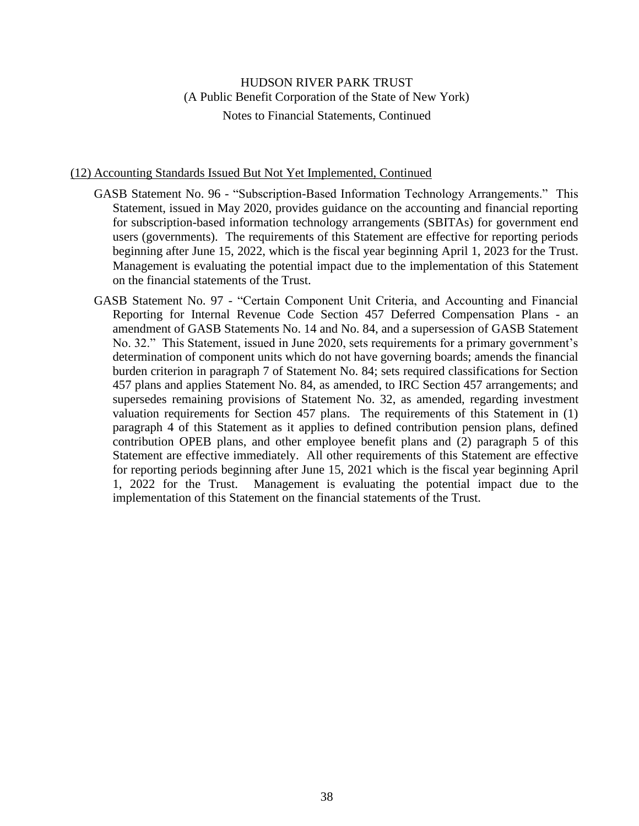#### (12) Accounting Standards Issued But Not Yet Implemented, Continued

- GASB Statement No. 96 "Subscription-Based Information Technology Arrangements." This Statement, issued in May 2020, provides guidance on the accounting and financial reporting for subscription-based information technology arrangements (SBITAs) for government end users (governments). The requirements of this Statement are effective for reporting periods beginning after June 15, 2022, which is the fiscal year beginning April 1, 2023 for the Trust. Management is evaluating the potential impact due to the implementation of this Statement on the financial statements of the Trust.
- GASB Statement No. 97 "Certain Component Unit Criteria, and Accounting and Financial Reporting for Internal Revenue Code Section 457 Deferred Compensation Plans - an amendment of GASB Statements No. 14 and No. 84, and a supersession of GASB Statement No. 32." This Statement, issued in June 2020, sets requirements for a primary government's determination of component units which do not have governing boards; amends the financial burden criterion in paragraph 7 of Statement No. 84; sets required classifications for Section 457 plans and applies Statement No. 84, as amended, to IRC Section 457 arrangements; and supersedes remaining provisions of Statement No. 32, as amended, regarding investment valuation requirements for Section 457 plans. The requirements of this Statement in (1) paragraph 4 of this Statement as it applies to defined contribution pension plans, defined contribution OPEB plans, and other employee benefit plans and (2) paragraph 5 of this Statement are effective immediately. All other requirements of this Statement are effective for reporting periods beginning after June 15, 2021 which is the fiscal year beginning April 1, 2022 for the Trust. Management is evaluating the potential impact due to the implementation of this Statement on the financial statements of the Trust.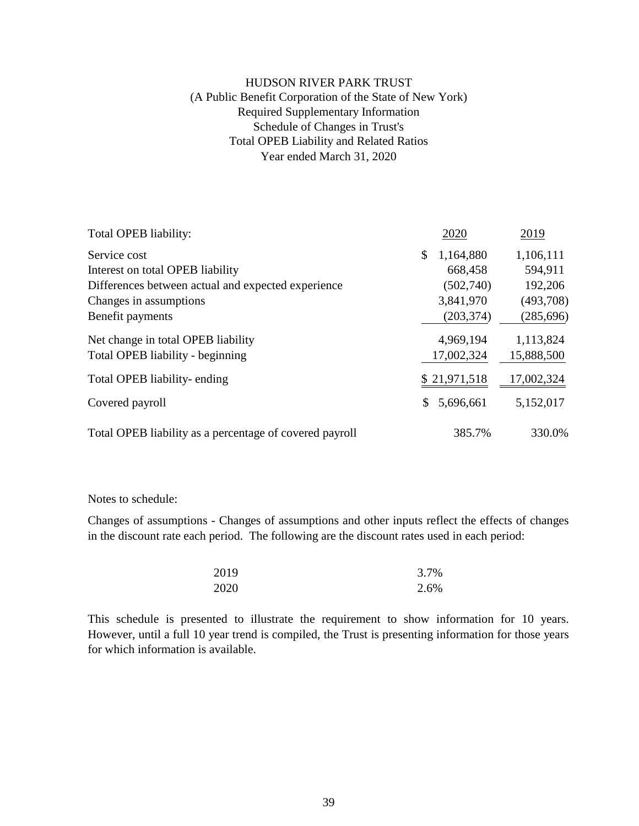### HUDSON RIVER PARK TRUST (A Public Benefit Corporation of the State of New York) Required Supplementary Information Schedule of Changes in Trust's Total OPEB Liability and Related Ratios Year ended March 31, 2020

| Total OPEB liability:                                   | 2020             | 2019       |
|---------------------------------------------------------|------------------|------------|
| Service cost                                            | \$<br>1,164,880  | 1,106,111  |
| Interest on total OPEB liability                        | 668,458          | 594,911    |
| Differences between actual and expected experience      | (502,740)        | 192,206    |
| Changes in assumptions                                  | 3,841,970        | (493,708)  |
| Benefit payments                                        | (203, 374)       | (285, 696) |
| Net change in total OPEB liability                      | 4,969,194        | 1,113,824  |
| Total OPEB liability - beginning                        | 17,002,324       | 15,888,500 |
| Total OPEB liability-ending                             | \$21,971,518     | 17,002,324 |
| Covered payroll                                         | 5,696,661<br>\$. | 5,152,017  |
| Total OPEB liability as a percentage of covered payroll | 385.7%           | 330.0%     |

#### Notes to schedule:

Changes of assumptions - Changes of assumptions and other inputs reflect the effects of changes in the discount rate each period. The following are the discount rates used in each period:

| 2019 | 3.7% |
|------|------|
| 2020 | 2.6% |

This schedule is presented to illustrate the requirement to show information for 10 years. However, until a full 10 year trend is compiled, the Trust is presenting information for those years for which information is available.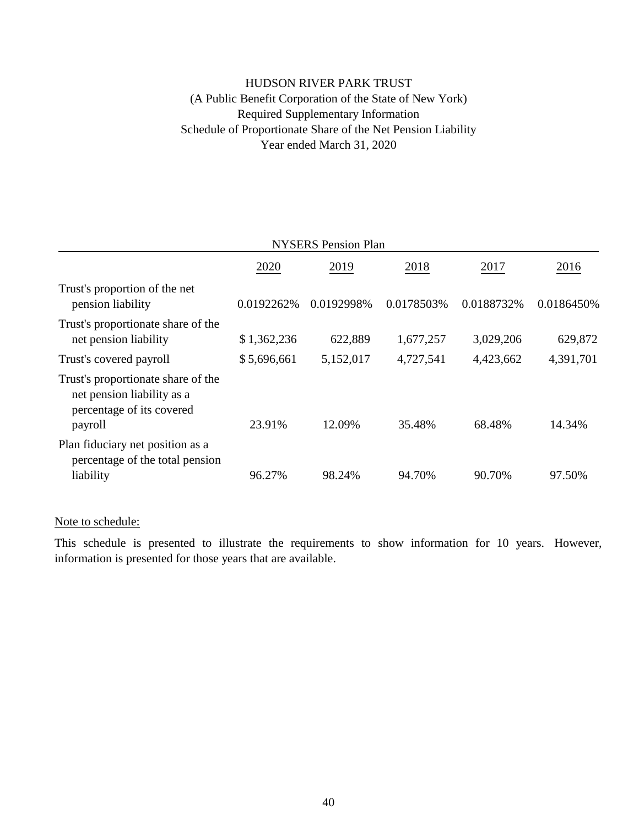### HUDSON RIVER PARK TRUST Required Supplementary Information Schedule of Proportionate Share of the Net Pension Liability Year ended March 31, 2020 (A Public Benefit Corporation of the State of New York)

| <b>NYSERS</b> Pension Plan                                                                               |             |            |            |            |            |
|----------------------------------------------------------------------------------------------------------|-------------|------------|------------|------------|------------|
|                                                                                                          | 2020        | 2019       | 2018       | 2017       | 2016       |
| Trust's proportion of the net<br>pension liability                                                       | 0.0192262%  | 0.0192998% | 0.0178503% | 0.0188732% | 0.0186450% |
| Trust's proportionate share of the<br>net pension liability                                              | \$1,362,236 | 622,889    | 1,677,257  | 3,029,206  | 629,872    |
| Trust's covered payroll                                                                                  | \$5,696,661 | 5,152,017  | 4,727,541  | 4,423,662  | 4,391,701  |
| Trust's proportionate share of the<br>net pension liability as a<br>percentage of its covered<br>payroll | 23.91%      | 12.09%     | 35.48%     | 68.48%     | 14.34%     |
| Plan fiduciary net position as a<br>percentage of the total pension<br>liability                         | 96.27%      | 98.24%     | 94.70%     | 90.70%     | 97.50%     |

#### Note to schedule:

This schedule is presented to illustrate the requirements to show information for 10 years. However, information is presented for those years that are available.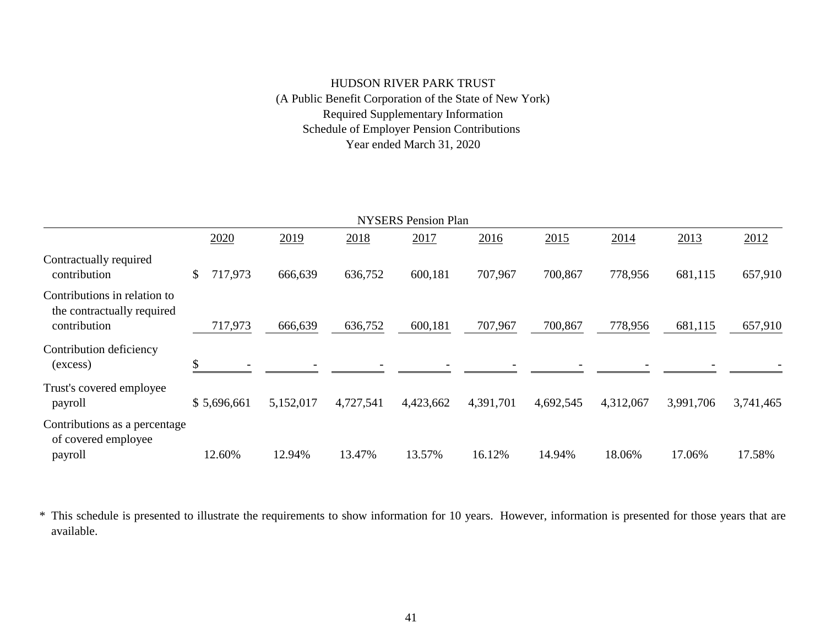### HUDSON RIVER PARK TRUST Required Supplementary Information Schedule of Employer Pension Contributions Year ended March 31, 2020 (A Public Benefit Corporation of the State of New York)

| 2020          | 2019                          | 2018      | 2017      | 2016      | 2015                       | 2014      | 2013      | 2012      |
|---------------|-------------------------------|-----------|-----------|-----------|----------------------------|-----------|-----------|-----------|
| \$<br>717,973 | 666,639                       | 636,752   | 600,181   | 707,967   | 700,867                    | 778,956   | 681,115   | 657,910   |
| 717,973       | 666,639                       | 636,752   | 600,181   | 707,967   | 700,867                    | 778,956   | 681,115   | 657,910   |
| \$            |                               |           |           |           |                            |           |           |           |
| \$5,696,661   | 5,152,017                     | 4,727,541 | 4,423,662 | 4,391,701 | 4,692,545                  | 4,312,067 | 3,991,706 | 3,741,465 |
| 12.60%        | 12.94%                        | 13.47%    | 13.57%    | 16.12%    | 14.94%                     | 18.06%    | 17.06%    | 17.58%    |
|               | Contributions as a percentage |           |           |           | <b>NYSERS</b> Pension Plan |           |           |           |

\* This schedule is presented to illustrate the requirements to show information for 10 years. However, information is presented for those years that are available.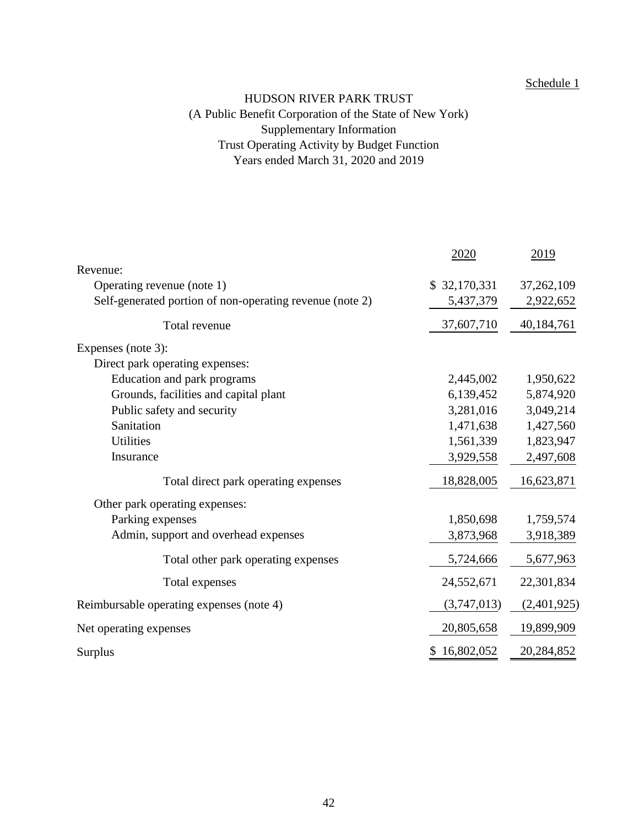#### HUDSON RIVER PARK TRUST

### (A Public Benefit Corporation of the State of New York) Trust Operating Activity by Budget Function Years ended March 31, 2020 and 2019 Supplementary Information

|                                                          | 2020         | 2019        |
|----------------------------------------------------------|--------------|-------------|
| Revenue:                                                 |              |             |
| Operating revenue (note 1)                               | \$32,170,331 | 37,262,109  |
| Self-generated portion of non-operating revenue (note 2) | 5,437,379    | 2,922,652   |
| Total revenue                                            | 37,607,710   | 40,184,761  |
| Expenses (note 3):                                       |              |             |
| Direct park operating expenses:                          |              |             |
| Education and park programs                              | 2,445,002    | 1,950,622   |
| Grounds, facilities and capital plant                    | 6,139,452    | 5,874,920   |
| Public safety and security                               | 3,281,016    | 3,049,214   |
| Sanitation                                               | 1,471,638    | 1,427,560   |
| <b>Utilities</b>                                         | 1,561,339    | 1,823,947   |
| Insurance                                                | 3,929,558    | 2,497,608   |
| Total direct park operating expenses                     | 18,828,005   | 16,623,871  |
| Other park operating expenses:                           |              |             |
| Parking expenses                                         | 1,850,698    | 1,759,574   |
| Admin, support and overhead expenses                     | 3,873,968    | 3,918,389   |
| Total other park operating expenses                      | 5,724,666    | 5,677,963   |
| Total expenses                                           | 24,552,671   | 22,301,834  |
| Reimbursable operating expenses (note 4)                 | (3,747,013)  | (2,401,925) |
| Net operating expenses                                   | 20,805,658   | 19,899,909  |
| Surplus                                                  | \$16,802,052 | 20,284,852  |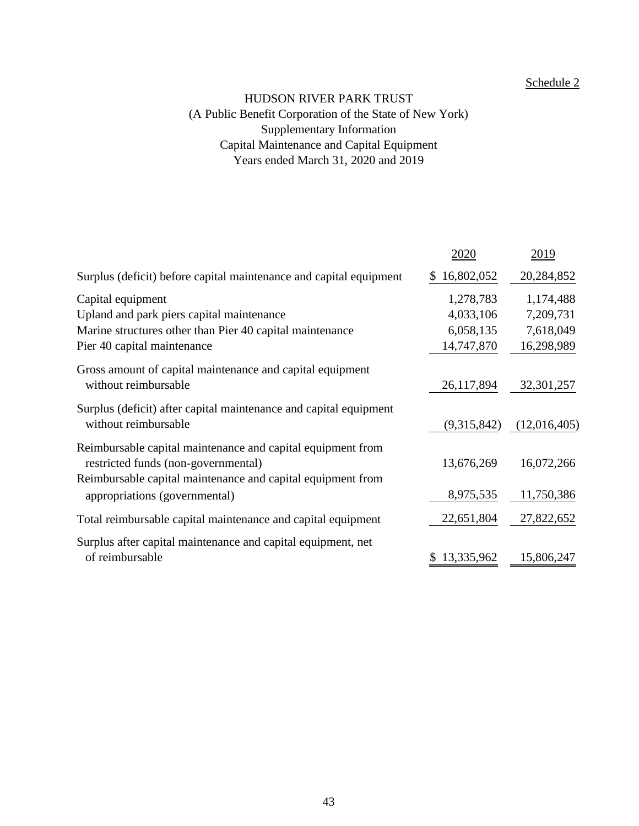### Years ended March 31, 2020 and 2019 HUDSON RIVER PARK TRUST (A Public Benefit Corporation of the State of New York) Supplementary Information Capital Maintenance and Capital Equipment

|                                                                                                    | 2020             | 2019         |
|----------------------------------------------------------------------------------------------------|------------------|--------------|
| Surplus (deficit) before capital maintenance and capital equipment                                 | 16,802,052<br>S. | 20,284,852   |
| Capital equipment                                                                                  | 1,278,783        | 1,174,488    |
| Upland and park piers capital maintenance                                                          | 4,033,106        | 7,209,731    |
| Marine structures other than Pier 40 capital maintenance                                           | 6,058,135        | 7,618,049    |
| Pier 40 capital maintenance                                                                        | 14,747,870       | 16,298,989   |
| Gross amount of capital maintenance and capital equipment                                          |                  |              |
| without reimbursable                                                                               | 26,117,894       | 32, 301, 257 |
| Surplus (deficit) after capital maintenance and capital equipment<br>without reimbursable          | (9,315,842)      | (12,016,405) |
| Reimbursable capital maintenance and capital equipment from<br>restricted funds (non-governmental) | 13,676,269       | 16,072,266   |
| Reimbursable capital maintenance and capital equipment from<br>appropriations (governmental)       | 8,975,535        | 11,750,386   |
| Total reimbursable capital maintenance and capital equipment                                       | 22,651,804       | 27,822,652   |
| Surplus after capital maintenance and capital equipment, net                                       |                  |              |
| of reimbursable                                                                                    | 13,335,962       | 15,806,247   |
|                                                                                                    |                  |              |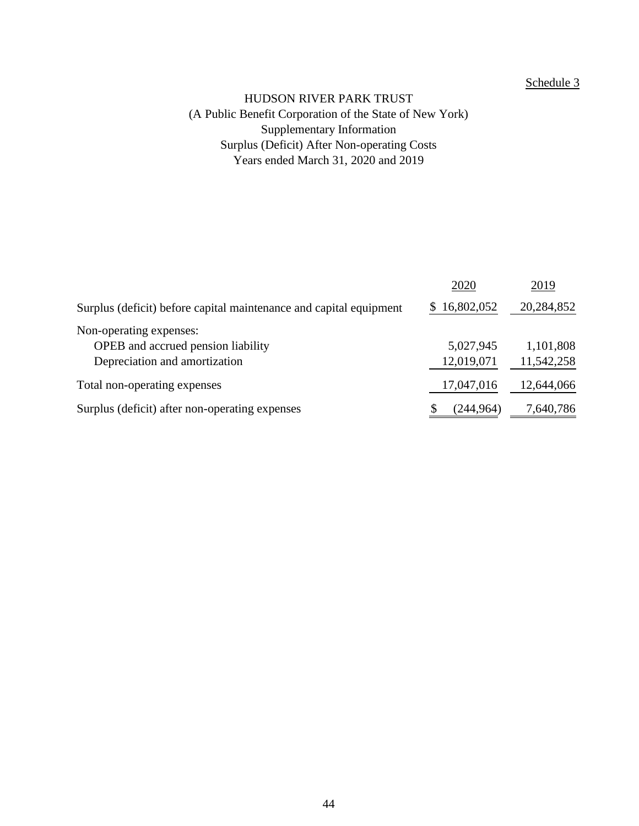### HUDSON RIVER PARK TRUST (A Public Benefit Corporation of the State of New York) Supplementary Information Surplus (Deficit) After Non-operating Costs Years ended March 31, 2020 and 2019

|                                                                    | 2020         | 2019       |
|--------------------------------------------------------------------|--------------|------------|
| Surplus (deficit) before capital maintenance and capital equipment | \$16,802,052 | 20,284,852 |
| Non-operating expenses:                                            |              |            |
| <b>OPEB</b> and accrued pension liability                          | 5,027,945    | 1,101,808  |
| Depreciation and amortization                                      | 12,019,071   | 11,542,258 |
| Total non-operating expenses                                       | 17,047,016   | 12,644,066 |
| Surplus (deficit) after non-operating expenses                     | (244, 964)   | 7,640,786  |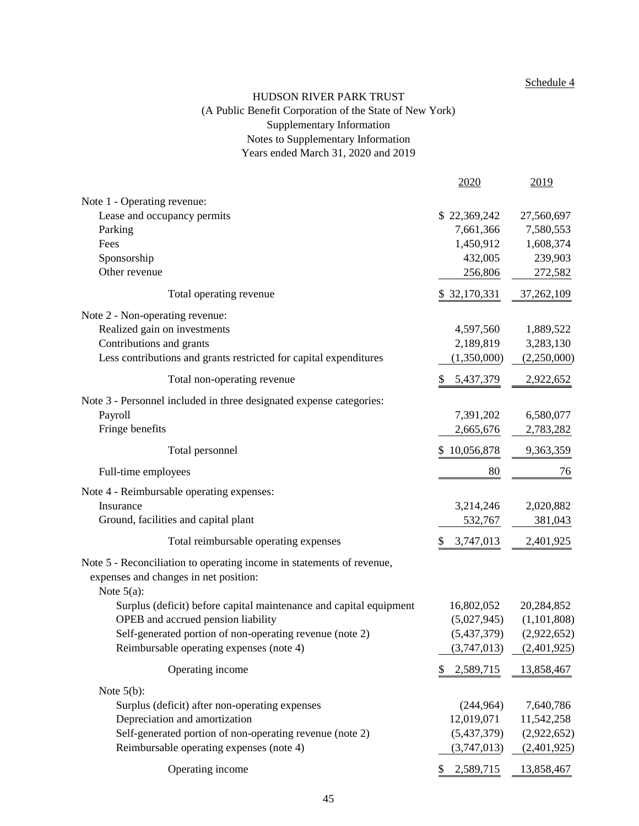#### HUDSON RIVER PARK TRUST (A Public Benefit Corporation of the State of New York) Supplementary Information Notes to Supplementary Information Years ended March 31, 2020 and 2019

|                                                                                                                                 | 2020            | 2019        |
|---------------------------------------------------------------------------------------------------------------------------------|-----------------|-------------|
| Note 1 - Operating revenue:                                                                                                     |                 |             |
| Lease and occupancy permits                                                                                                     | \$22,369,242    | 27,560,697  |
| Parking                                                                                                                         | 7,661,366       | 7,580,553   |
| Fees                                                                                                                            | 1,450,912       | 1,608,374   |
| Sponsorship                                                                                                                     | 432,005         | 239,903     |
| Other revenue                                                                                                                   | 256,806         | 272,582     |
| Total operating revenue                                                                                                         | \$ 32,170,331   | 37,262,109  |
| Note 2 - Non-operating revenue:                                                                                                 |                 |             |
| Realized gain on investments                                                                                                    | 4,597,560       | 1,889,522   |
| Contributions and grants                                                                                                        | 2,189,819       | 3,283,130   |
| Less contributions and grants restricted for capital expenditures                                                               | (1,350,000)     | (2,250,000) |
| Total non-operating revenue                                                                                                     | \$<br>5,437,379 | 2,922,652   |
| Note 3 - Personnel included in three designated expense categories:                                                             |                 |             |
| Payroll                                                                                                                         | 7,391,202       | 6,580,077   |
| Fringe benefits                                                                                                                 | 2,665,676       | 2,783,282   |
| Total personnel                                                                                                                 | \$10,056,878    | 9,363,359   |
| Full-time employees                                                                                                             | 80              | 76          |
| Note 4 - Reimbursable operating expenses:                                                                                       |                 |             |
| Insurance                                                                                                                       | 3,214,246       | 2,020,882   |
| Ground, facilities and capital plant                                                                                            | 532,767         | 381,043     |
| Total reimbursable operating expenses                                                                                           | 3,747,013<br>\$ | 2,401,925   |
| Note 5 - Reconciliation to operating income in statements of revenue,<br>expenses and changes in net position:<br>Note $5(a)$ : |                 |             |
| Surplus (deficit) before capital maintenance and capital equipment                                                              | 16,802,052      | 20,284,852  |
| OPEB and accrued pension liability                                                                                              | (5,027,945)     | (1,101,808) |
| Self-generated portion of non-operating revenue (note 2)                                                                        | (5,437,379)     | (2,922,652) |
| Reimbursable operating expenses (note 4)                                                                                        | (3,747,013)     | (2,401,925) |
| Operating income                                                                                                                | 2,589,715<br>\$ | 13,858,467  |
| Note $5(b)$ :                                                                                                                   |                 |             |
| Surplus (deficit) after non-operating expenses                                                                                  | (244, 964)      | 7,640,786   |
| Depreciation and amortization                                                                                                   | 12,019,071      | 11,542,258  |
| Self-generated portion of non-operating revenue (note 2)                                                                        | (5,437,379)     | (2,922,652) |
| Reimbursable operating expenses (note 4)                                                                                        | (3,747,013)     | (2,401,925) |
| Operating income                                                                                                                | 2,589,715<br>\$ | 13,858,467  |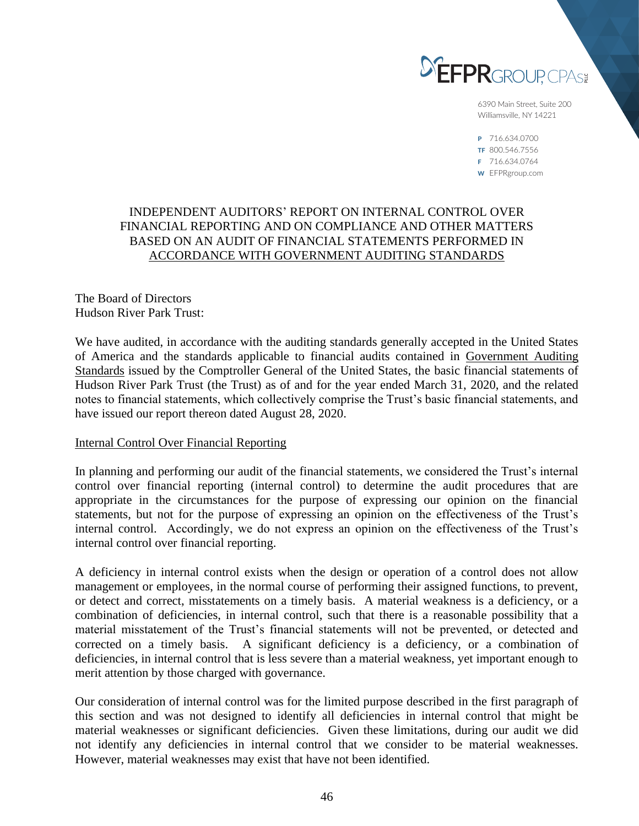

6390 Main Street, Suite 200 Williamsville, NY 14221

P 716.634.0700 TF 800.546.7556 F 716.634.0764 W EFPRgroup.com

#### INDEPENDENT AUDITORS' REPORT ON INTERNAL CONTROL OVER FINANCIAL REPORTING AND ON COMPLIANCE AND OTHER MATTERS BASED ON AN AUDIT OF FINANCIAL STATEMENTS PERFORMED IN ACCORDANCE WITH GOVERNMENT AUDITING STANDARDS

The Board of Directors Hudson River Park Trust:

We have audited, in accordance with the auditing standards generally accepted in the United States of America and the standards applicable to financial audits contained in Government Auditing Standards issued by the Comptroller General of the United States, the basic financial statements of Hudson River Park Trust (the Trust) as of and for the year ended March 31, 2020, and the related notes to financial statements, which collectively comprise the Trust's basic financial statements, and have issued our report thereon dated August 28, 2020.

#### Internal Control Over Financial Reporting

In planning and performing our audit of the financial statements, we considered the Trust's internal control over financial reporting (internal control) to determine the audit procedures that are appropriate in the circumstances for the purpose of expressing our opinion on the financial statements, but not for the purpose of expressing an opinion on the effectiveness of the Trust's internal control. Accordingly, we do not express an opinion on the effectiveness of the Trust's internal control over financial reporting.

A deficiency in internal control exists when the design or operation of a control does not allow management or employees, in the normal course of performing their assigned functions, to prevent, or detect and correct, misstatements on a timely basis. A material weakness is a deficiency, or a combination of deficiencies, in internal control, such that there is a reasonable possibility that a material misstatement of the Trust's financial statements will not be prevented, or detected and corrected on a timely basis. A significant deficiency is a deficiency, or a combination of deficiencies, in internal control that is less severe than a material weakness, yet important enough to merit attention by those charged with governance.

Our consideration of internal control was for the limited purpose described in the first paragraph of this section and was not designed to identify all deficiencies in internal control that might be material weaknesses or significant deficiencies. Given these limitations, during our audit we did not identify any deficiencies in internal control that we consider to be material weaknesses. However, material weaknesses may exist that have not been identified.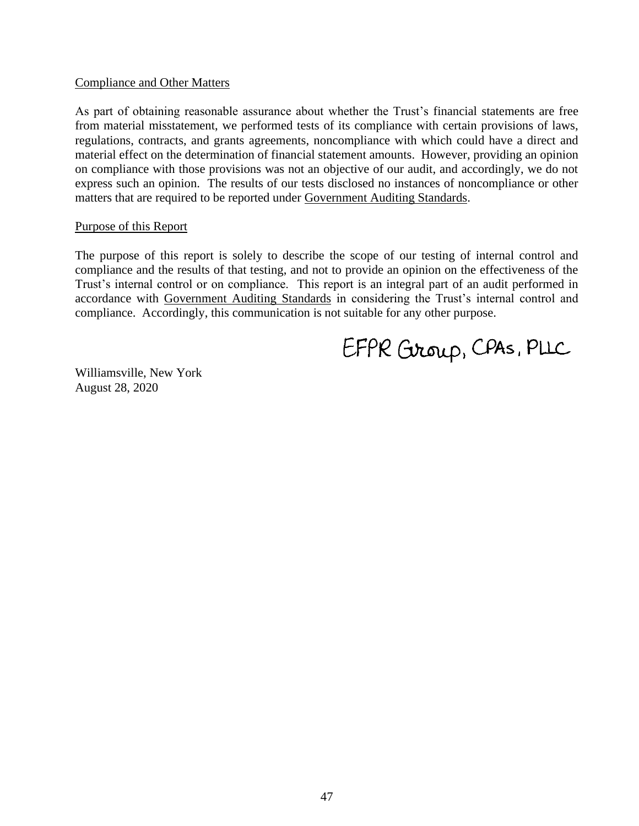#### Compliance and Other Matters

As part of obtaining reasonable assurance about whether the Trust's financial statements are free from material misstatement, we performed tests of its compliance with certain provisions of laws, regulations, contracts, and grants agreements, noncompliance with which could have a direct and material effect on the determination of financial statement amounts. However, providing an opinion on compliance with those provisions was not an objective of our audit, and accordingly, we do not express such an opinion. The results of our tests disclosed no instances of noncompliance or other matters that are required to be reported under Government Auditing Standards.

#### Purpose of this Report

The purpose of this report is solely to describe the scope of our testing of internal control and compliance and the results of that testing, and not to provide an opinion on the effectiveness of the Trust's internal control or on compliance. This report is an integral part of an audit performed in accordance with Government Auditing Standards in considering the Trust's internal control and compliance. Accordingly, this communication is not suitable for any other purpose.

EFPR Group, CPAS, PLLC

Williamsville, New York August 28, 2020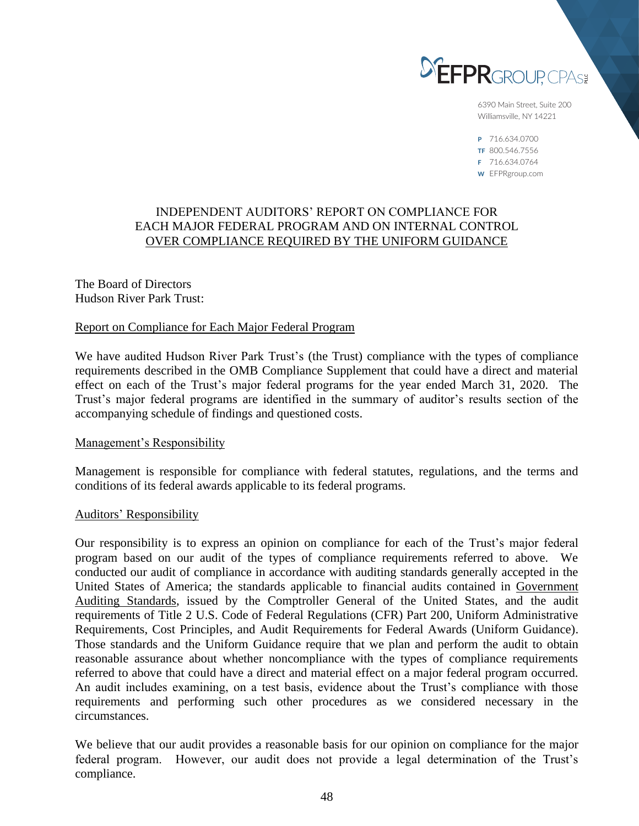

6390 Main Street, Suite 200 Williamsville, NY 14221

P 716.634.0700 TF 800.546.7556 F 716.634.0764 W EFPRgroup.com

#### INDEPENDENT AUDITORS' REPORT ON COMPLIANCE FOR EACH MAJOR FEDERAL PROGRAM AND ON INTERNAL CONTROL OVER COMPLIANCE REQUIRED BY THE UNIFORM GUIDANCE

The Board of Directors Hudson River Park Trust:

#### Report on Compliance for Each Major Federal Program

We have audited Hudson River Park Trust's (the Trust) compliance with the types of compliance requirements described in the OMB Compliance Supplement that could have a direct and material effect on each of the Trust's major federal programs for the year ended March 31, 2020. The Trust's major federal programs are identified in the summary of auditor's results section of the accompanying schedule of findings and questioned costs.

#### Management's Responsibility

Management is responsible for compliance with federal statutes, regulations, and the terms and conditions of its federal awards applicable to its federal programs.

#### Auditors' Responsibility

Our responsibility is to express an opinion on compliance for each of the Trust's major federal program based on our audit of the types of compliance requirements referred to above. We conducted our audit of compliance in accordance with auditing standards generally accepted in the United States of America; the standards applicable to financial audits contained in Government Auditing Standards, issued by the Comptroller General of the United States, and the audit requirements of Title 2 U.S. Code of Federal Regulations (CFR) Part 200, Uniform Administrative Requirements, Cost Principles, and Audit Requirements for Federal Awards (Uniform Guidance). Those standards and the Uniform Guidance require that we plan and perform the audit to obtain reasonable assurance about whether noncompliance with the types of compliance requirements referred to above that could have a direct and material effect on a major federal program occurred. An audit includes examining, on a test basis, evidence about the Trust's compliance with those requirements and performing such other procedures as we considered necessary in the circumstances.

We believe that our audit provides a reasonable basis for our opinion on compliance for the major federal program. However, our audit does not provide a legal determination of the Trust's compliance.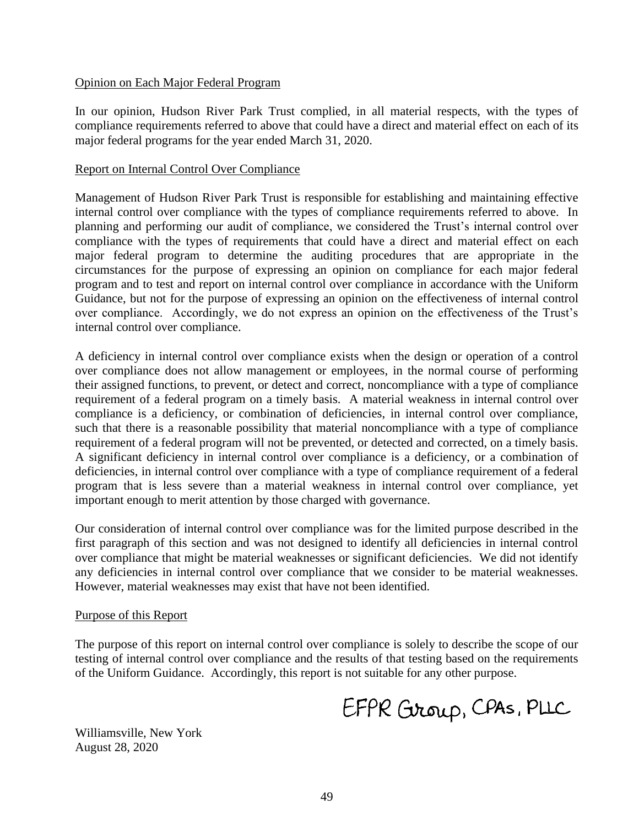#### Opinion on Each Major Federal Program

In our opinion, Hudson River Park Trust complied, in all material respects, with the types of compliance requirements referred to above that could have a direct and material effect on each of its major federal programs for the year ended March 31, 2020.

#### Report on Internal Control Over Compliance

Management of Hudson River Park Trust is responsible for establishing and maintaining effective internal control over compliance with the types of compliance requirements referred to above. In planning and performing our audit of compliance, we considered the Trust's internal control over compliance with the types of requirements that could have a direct and material effect on each major federal program to determine the auditing procedures that are appropriate in the circumstances for the purpose of expressing an opinion on compliance for each major federal program and to test and report on internal control over compliance in accordance with the Uniform Guidance, but not for the purpose of expressing an opinion on the effectiveness of internal control over compliance. Accordingly, we do not express an opinion on the effectiveness of the Trust's internal control over compliance.

A deficiency in internal control over compliance exists when the design or operation of a control over compliance does not allow management or employees, in the normal course of performing their assigned functions, to prevent, or detect and correct, noncompliance with a type of compliance requirement of a federal program on a timely basis. A material weakness in internal control over compliance is a deficiency, or combination of deficiencies, in internal control over compliance, such that there is a reasonable possibility that material noncompliance with a type of compliance requirement of a federal program will not be prevented, or detected and corrected, on a timely basis. A significant deficiency in internal control over compliance is a deficiency, or a combination of deficiencies, in internal control over compliance with a type of compliance requirement of a federal program that is less severe than a material weakness in internal control over compliance, yet important enough to merit attention by those charged with governance.

Our consideration of internal control over compliance was for the limited purpose described in the first paragraph of this section and was not designed to identify all deficiencies in internal control over compliance that might be material weaknesses or significant deficiencies. We did not identify any deficiencies in internal control over compliance that we consider to be material weaknesses. However, material weaknesses may exist that have not been identified.

#### Purpose of this Report

The purpose of this report on internal control over compliance is solely to describe the scope of our testing of internal control over compliance and the results of that testing based on the requirements of the Uniform Guidance. Accordingly, this report is not suitable for any other purpose.

EFPR Group, CPAS, PLLC

Williamsville, New York August 28, 2020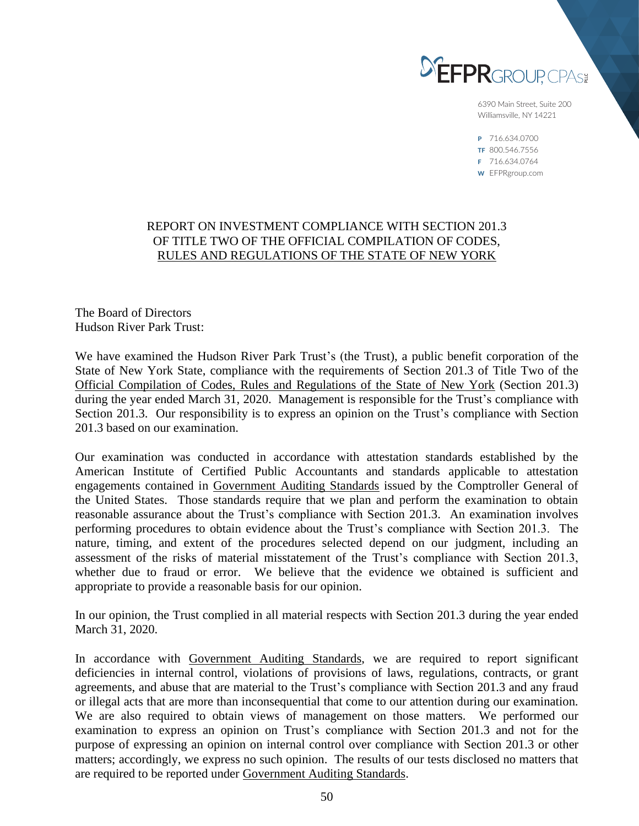

6390 Main Street, Suite 200 Williamsville, NY 14221

P 716.634.0700 TF 800.546.7556 F 716.634.0764 W EFPRgroup.com

### REPORT ON INVESTMENT COMPLIANCE WITH SECTION 201.3 OF TITLE TWO OF THE OFFICIAL COMPILATION OF CODES, RULES AND REGULATIONS OF THE STATE OF NEW YORK

The Board of Directors Hudson River Park Trust:

We have examined the Hudson River Park Trust's (the Trust), a public benefit corporation of the State of New York State, compliance with the requirements of Section 201.3 of Title Two of the Official Compilation of Codes, Rules and Regulations of the State of New York (Section 201.3) during the year ended March 31, 2020. Management is responsible for the Trust's compliance with Section 201.3. Our responsibility is to express an opinion on the Trust's compliance with Section 201.3 based on our examination.

Our examination was conducted in accordance with attestation standards established by the American Institute of Certified Public Accountants and standards applicable to attestation engagements contained in Government Auditing Standards issued by the Comptroller General of the United States. Those standards require that we plan and perform the examination to obtain reasonable assurance about the Trust's compliance with Section 201.3. An examination involves performing procedures to obtain evidence about the Trust's compliance with Section 201.3. The nature, timing, and extent of the procedures selected depend on our judgment, including an assessment of the risks of material misstatement of the Trust's compliance with Section 201.3, whether due to fraud or error. We believe that the evidence we obtained is sufficient and appropriate to provide a reasonable basis for our opinion.

In our opinion, the Trust complied in all material respects with Section 201.3 during the year ended March 31, 2020.

In accordance with Government Auditing Standards, we are required to report significant deficiencies in internal control, violations of provisions of laws, regulations, contracts, or grant agreements, and abuse that are material to the Trust's compliance with Section 201.3 and any fraud or illegal acts that are more than inconsequential that come to our attention during our examination. We are also required to obtain views of management on those matters. We performed our examination to express an opinion on Trust's compliance with Section 201.3 and not for the purpose of expressing an opinion on internal control over compliance with Section 201.3 or other matters; accordingly, we express no such opinion. The results of our tests disclosed no matters that are required to be reported under Government Auditing Standards.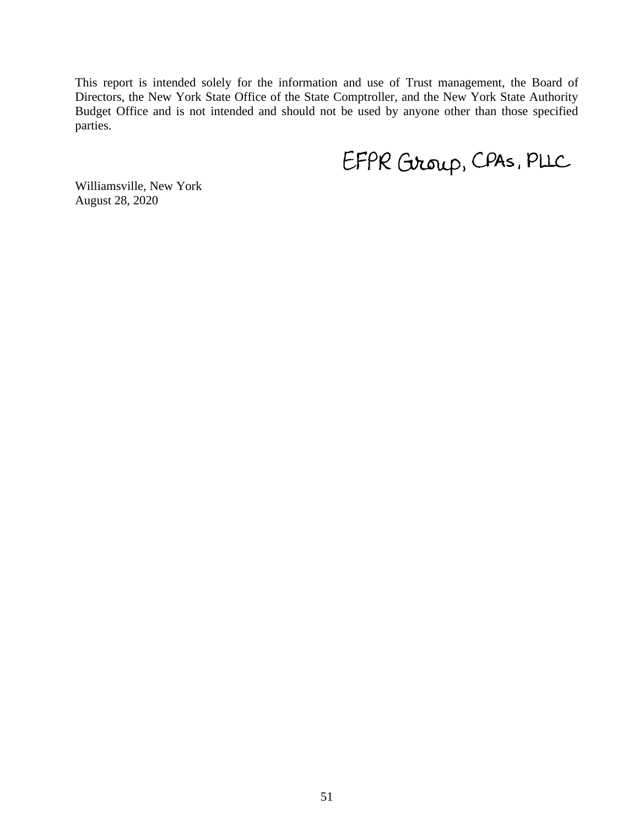This report is intended solely for the information and use of Trust management, the Board of Directors, the New York State Office of the State Comptroller, and the New York State Authority Budget Office and is not intended and should not be used by anyone other than those specified parties.

EFPR Group, CPAS, PLLC

Williamsville, New York August 28, 2020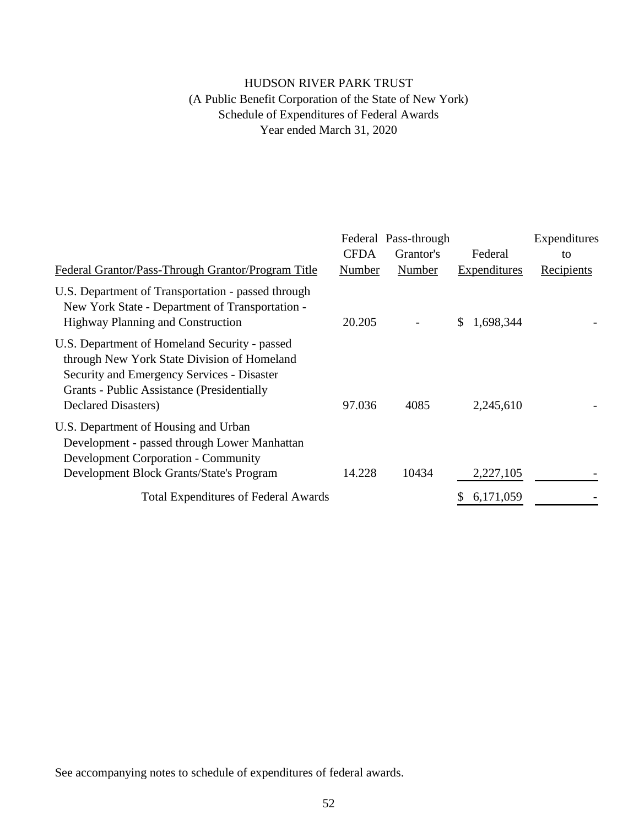### HUDSON RIVER PARK TRUST (A Public Benefit Corporation of the State of New York) Schedule of Expenditures of Federal Awards Year ended March 31, 2020

|                                                                                                                                                                                          |             | Federal Pass-through |                     | Expenditures |
|------------------------------------------------------------------------------------------------------------------------------------------------------------------------------------------|-------------|----------------------|---------------------|--------------|
|                                                                                                                                                                                          | <b>CFDA</b> | Grantor's            | Federal             | to           |
| Federal Grantor/Pass-Through Grantor/Program Title                                                                                                                                       | Number      | Number               | <b>Expenditures</b> | Recipients   |
| U.S. Department of Transportation - passed through<br>New York State - Department of Transportation -<br><b>Highway Planning and Construction</b>                                        | 20.205      |                      | 1,698,344<br>S      |              |
| U.S. Department of Homeland Security - passed<br>through New York State Division of Homeland<br>Security and Emergency Services - Disaster<br>Grants - Public Assistance (Presidentially | 97.036      | 4085                 |                     |              |
| Declared Disasters)<br>U.S. Department of Housing and Urban<br>Development - passed through Lower Manhattan<br><b>Development Corporation - Community</b>                                |             |                      | 2,245,610           |              |
| Development Block Grants/State's Program                                                                                                                                                 | 14.228      | 10434                | 2,227,105           |              |
| <b>Total Expenditures of Federal Awards</b>                                                                                                                                              |             |                      | 6,171,059           |              |

See accompanying notes to schedule of expenditures of federal awards.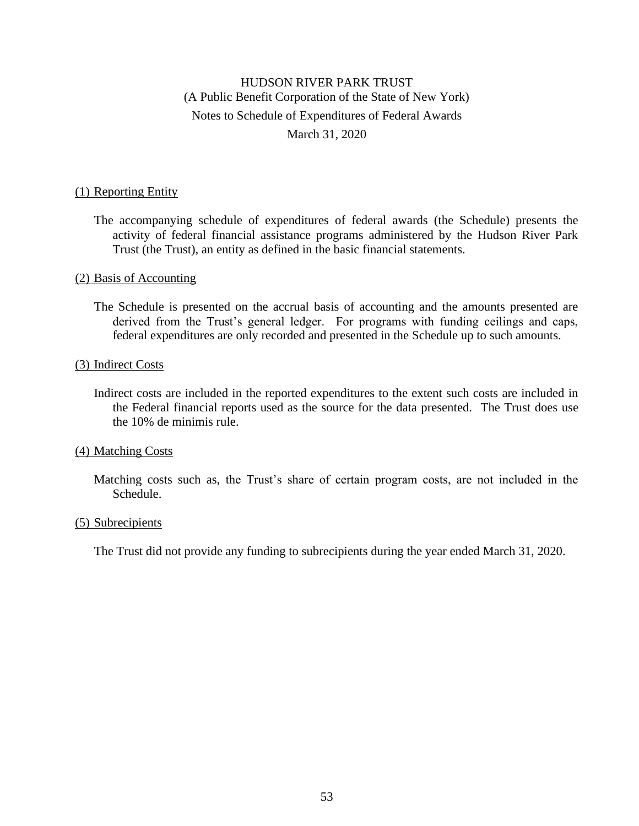### HUDSON RIVER PARK TRUST (A Public Benefit Corporation of the State of New York) Notes to Schedule of Expenditures of Federal Awards March 31, 2020

#### (1) Reporting Entity

The accompanying schedule of expenditures of federal awards (the Schedule) presents the activity of federal financial assistance programs administered by the Hudson River Park Trust (the Trust), an entity as defined in the basic financial statements.

#### (2) Basis of Accounting

The Schedule is presented on the accrual basis of accounting and the amounts presented are derived from the Trust's general ledger. For programs with funding ceilings and caps, federal expenditures are only recorded and presented in the Schedule up to such amounts.

#### (3) Indirect Costs

Indirect costs are included in the reported expenditures to the extent such costs are included in the Federal financial reports used as the source for the data presented. The Trust does use the 10% de minimis rule.

#### (4) Matching Costs

Matching costs such as, the Trust's share of certain program costs, are not included in the Schedule.

#### (5) Subrecipients

The Trust did not provide any funding to subrecipients during the year ended March 31, 2020.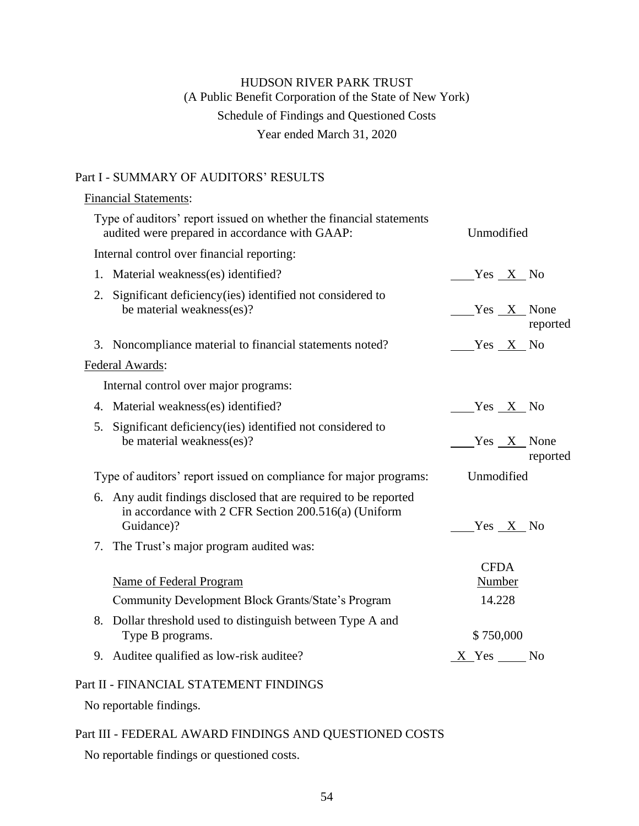### HUDSON RIVER PARK TRUST (A Public Benefit Corporation of the State of New York) Schedule of Findings and Questioned Costs Year ended March 31, 2020

#### Part I - SUMMARY OF AUDITORS' RESULTS

#### Financial Statements:

|    | Type of auditors' report issued on whether the financial statements<br>audited were prepared in accordance with GAAP:                  | Unmodified                      |  |
|----|----------------------------------------------------------------------------------------------------------------------------------------|---------------------------------|--|
|    | Internal control over financial reporting:                                                                                             |                                 |  |
|    | 1. Material weakness(es) identified?                                                                                                   | Yes X No                        |  |
| 2. | Significant deficiency (ies) identified not considered to<br>be material weakness(es)?                                                 | $Yes \; X$ None<br>reported     |  |
|    | 3. Noncompliance material to financial statements noted?                                                                               | $Yes$ $X$ No                    |  |
|    | Federal Awards:                                                                                                                        |                                 |  |
|    | Internal control over major programs:                                                                                                  |                                 |  |
|    | 4. Material weakness(es) identified?                                                                                                   | $Yes \; X \; No$                |  |
| 5. | Significant deficiency(ies) identified not considered to<br>be material weakness(es)?                                                  | $Yes$ $X$ None<br>reported      |  |
|    | Type of auditors' report issued on compliance for major programs:                                                                      | Unmodified                      |  |
|    | 6. Any audit findings disclosed that are required to be reported<br>in accordance with 2 CFR Section 200.516(a) (Uniform<br>Guidance)? | $Yes \; X \; No$                |  |
|    | 7. The Trust's major program audited was:                                                                                              |                                 |  |
|    | Name of Federal Program<br>Community Development Block Grants/State's Program                                                          | <b>CFDA</b><br>Number<br>14.228 |  |
|    | 8. Dollar threshold used to distinguish between Type A and<br>Type B programs.                                                         | \$750,000                       |  |
|    | 9. Auditee qualified as low-risk auditee?                                                                                              | $X$ Yes $\_\_$ No               |  |
|    | Part II - FINANCIAL STATEMENT FINDINGS                                                                                                 |                                 |  |

#### No reportable findings.

### Part III - FEDERAL AWARD FINDINGS AND QUESTIONED COSTS

No reportable findings or questioned costs.